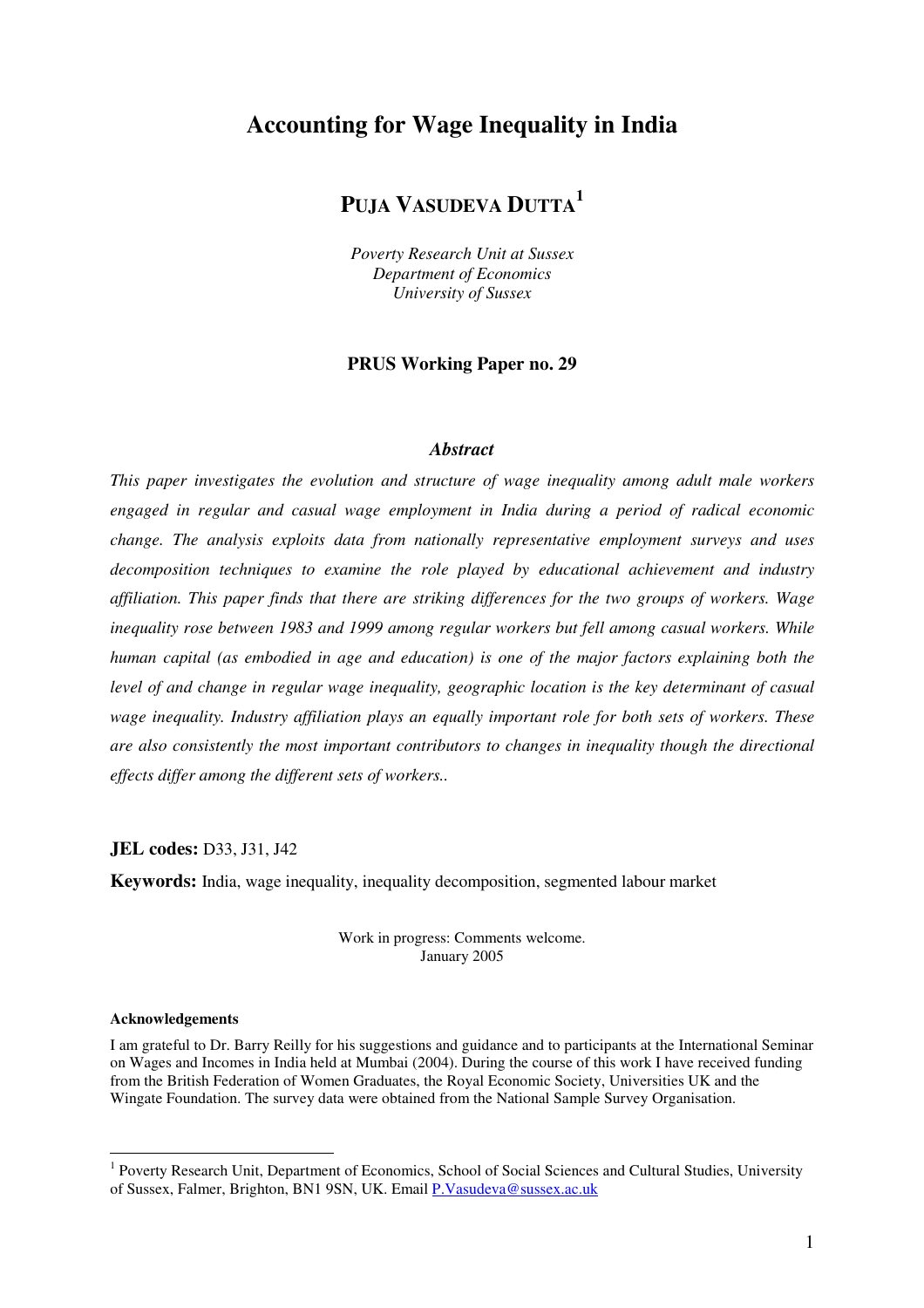## **Accounting for Wage Inequality in India**

# **PUJA VASUDEVA DUTTA 1**

*Poverty Research Unit at Sussex Department of Economics University of Sussex*

#### **PRUS Working Paper no. 29**

#### *Abstract*

*This paper investigates the evolution and structure of wage inequality among adult male workers engaged in regular and casual wage employment in India during a period of radical economic change. The analysis exploits data from nationally representative employment surveys and uses decomposition techniques to examine the role played by educational achievement and industry affiliation. This paper finds that there are striking differences for the two groups of workers. Wage inequality rose between 1983 and 1999 among regular workers but fell among casual workers. While human capital (as embodied in age and education) is one of the major factors explaining both the level of and change in regular wage inequality, geographic location is the key determinant of casual wage inequality. Industry affiliation plays an equally important role for both sets of workers. These are also consistently the most important contributors to changes in inequality though the directional effects differ among the different sets of workers..*

**JEL codes:** D33, J31, J42

**Keywords:** India, wage inequality, inequality decomposition, segmented labour market

Work in progress: Comments welcome. January 2005

#### **Acknowledgements**

I am grateful to Dr. Barry Reilly for his suggestions and guidance and to participants at the International Seminar on Wages and Incomes in India held at Mumbai (2004). During the course of this work I have received funding from the British Federation of Women Graduates, the Royal Economic Society, Universities UK and the Wingate Foundation. The survey data were obtained from the National Sample Survey Organisation.

<sup>&</sup>lt;sup>1</sup> Poverty Research Unit, Department of Economics, School of Social Sciences and Cultural Studies, University of Sussex, Falmer, Brighton, BN1 9SN, UK. Email P.Vasudeva@sussex.ac.uk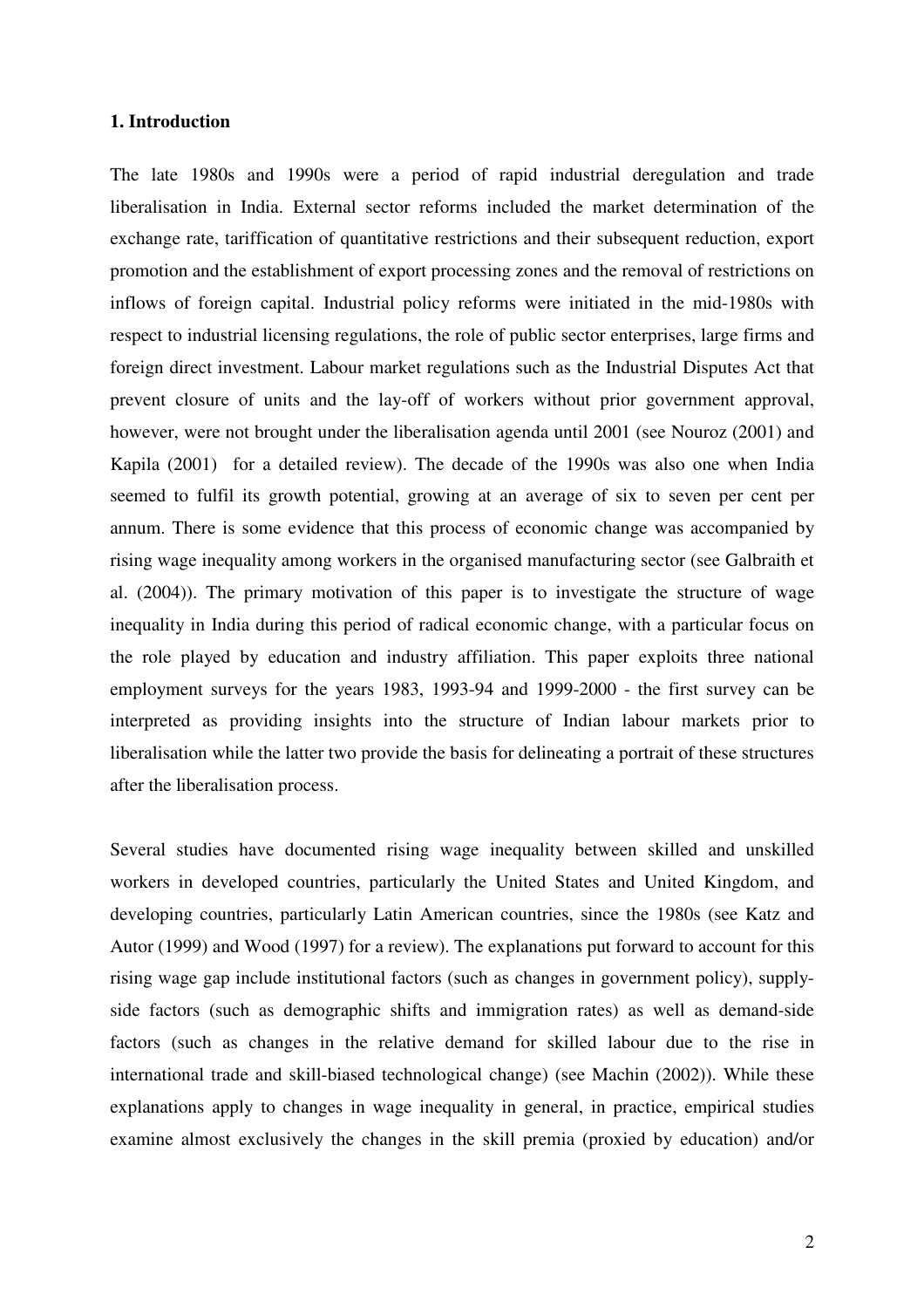## **1. Introduction**

The late 1980s and 1990s were a period of rapid industrial deregulation and trade liberalisation in India. External sector reforms included the market determination of the exchange rate, tariffication of quantitative restrictions and their subsequent reduction, export promotion and the establishment of export processing zones and the removal of restrictions on inflows of foreign capital. Industrial policy reforms were initiated in the mid-1980s with respect to industrial licensing regulations, the role of public sector enterprises, large firms and foreign direct investment. Labour market regulations such as the Industrial Disputes Act that prevent closure of units and the lay-off of workers without prior government approval, however, were not brought under the liberalisation agenda until 2001 (see Nouroz (2001) and Kapila (2001) for a detailed review). The decade of the 1990s was also one when India seemed to fulfil its growth potential, growing at an average of six to seven per cent per annum. There is some evidence that this process of economic change was accompanied by rising wage inequality among workers in the organised manufacturing sector (see Galbraith et al. (2004)). The primary motivation of this paper is to investigate the structure of wage inequality in India during this period of radical economic change, with a particular focus on the role played by education and industry affiliation. This paper exploits three national employment surveys for the years 1983, 1993-94 and 1999-2000 - the first survey can be interpreted as providing insights into the structure of Indian labour markets prior to liberalisation while the latter two provide the basis for delineating a portrait of these structures after the liberalisation process.

Several studies have documented rising wage inequality between skilled and unskilled workers in developed countries, particularly the United States and United Kingdom, and developing countries, particularly Latin American countries, since the 1980s (see Katz and Autor (1999) and Wood (1997) for a review). The explanations put forward to account for this rising wage gap include institutional factors (such as changes in government policy), supplyside factors (such as demographic shifts and immigration rates) as well as demand-side factors (such as changes in the relative demand for skilled labour due to the rise in international trade and skill-biased technological change) (see Machin (2002)). While these explanations apply to changes in wage inequality in general, in practice, empirical studies examine almost exclusively the changes in the skill premia (proxied by education) and/or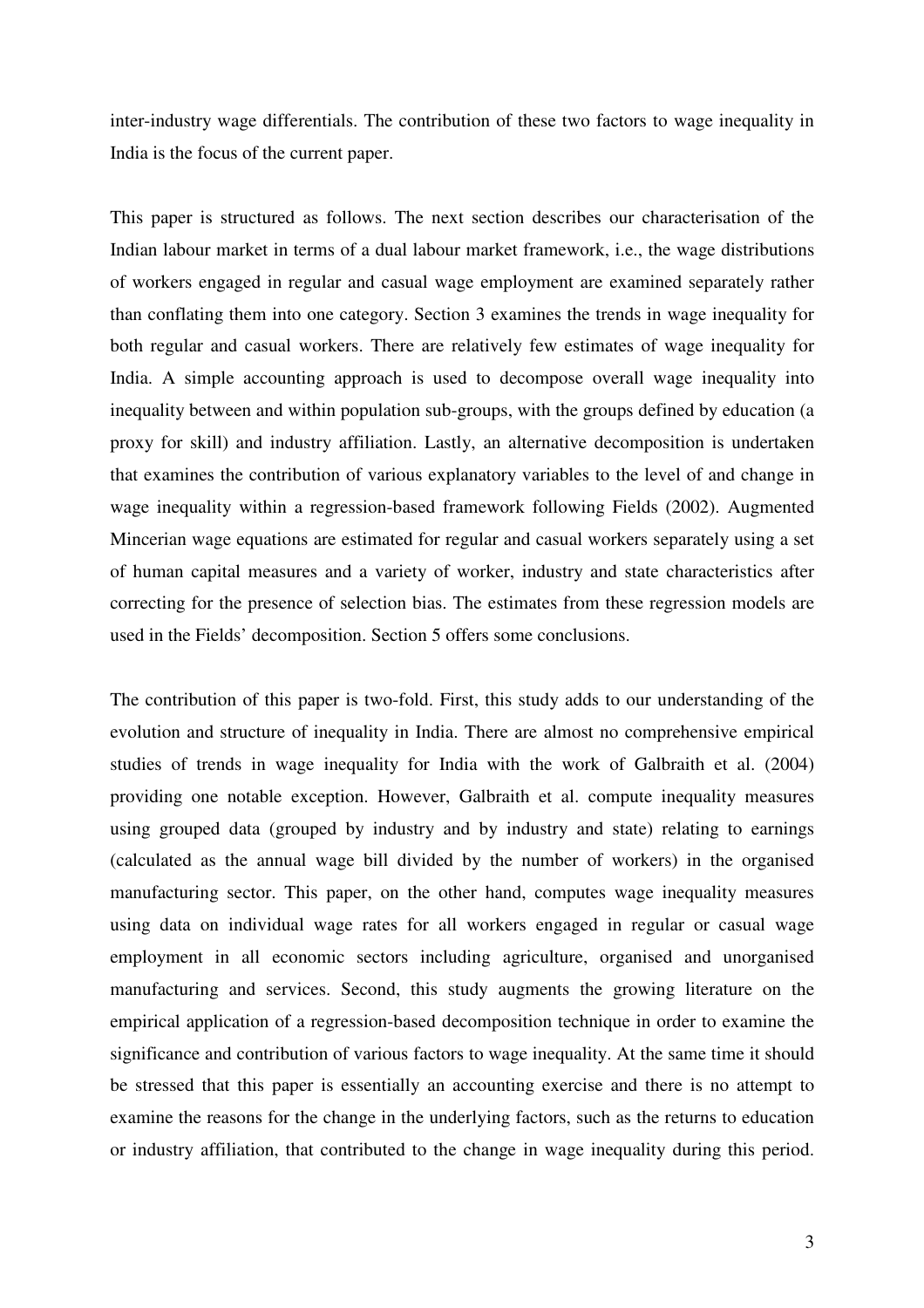inter-industry wage differentials. The contribution of these two factors to wage inequality in India is the focus of the current paper.

This paper is structured as follows. The next section describes our characterisation of the Indian labour market in terms of a dual labour market framework, i.e., the wage distributions of workers engaged in regular and casual wage employment are examined separately rather than conflating them into one category. Section 3 examines the trends in wage inequality for both regular and casual workers. There are relatively few estimates of wage inequality for India. A simple accounting approach is used to decompose overall wage inequality into inequality between and within population sub-groups, with the groups defined by education (a proxy for skill) and industry affiliation. Lastly, an alternative decomposition is undertaken that examines the contribution of various explanatory variables to the level of and change in wage inequality within a regression-based framework following Fields (2002). Augmented Mincerian wage equations are estimated for regular and casual workers separately using a set of human capital measures and a variety of worker, industry and state characteristics after correcting for the presence of selection bias. The estimates from these regression models are used in the Fields' decomposition. Section 5 offers some conclusions.

The contribution of this paper is two-fold. First, this study adds to our understanding of the evolution and structure of inequality in India. There are almost no comprehensive empirical studies of trends in wage inequality for India with the work of Galbraith et al. (2004) providing one notable exception. However, Galbraith et al. compute inequality measures using grouped data (grouped by industry and by industry and state) relating to earnings (calculated as the annual wage bill divided by the number of workers) in the organised manufacturing sector. This paper, on the other hand, computes wage inequality measures using data on individual wage rates for all workers engaged in regular or casual wage employment in all economic sectors including agriculture, organised and unorganised manufacturing and services. Second, this study augments the growing literature on the empirical application of a regression-based decomposition technique in order to examine the significance and contribution of various factors to wage inequality. At the same time it should be stressed that this paper is essentially an accounting exercise and there is no attempt to examine the reasons for the change in the underlying factors, such as the returns to education or industry affiliation, that contributed to the change in wage inequality during this period.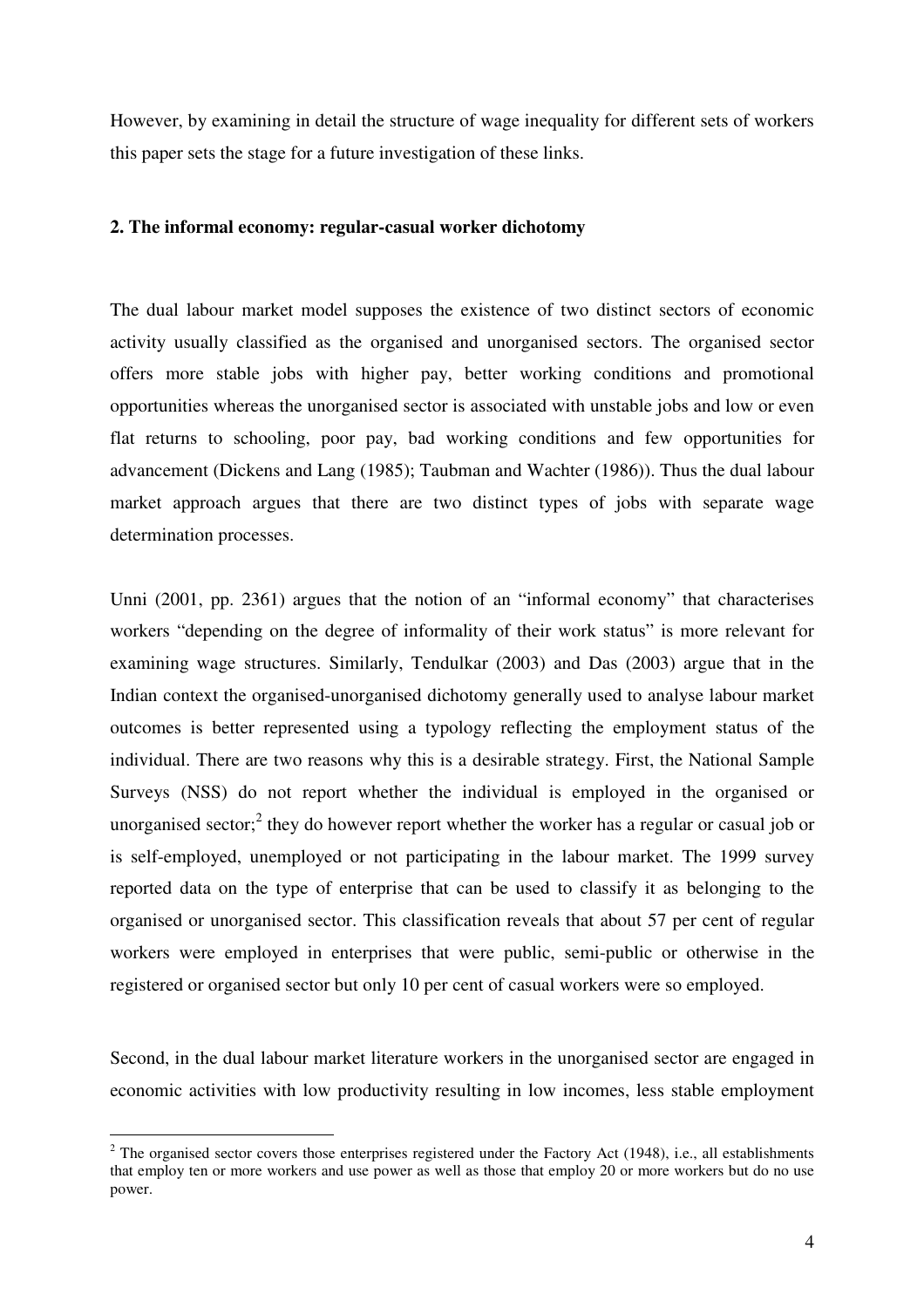However, by examining in detail the structure of wage inequality for different sets of workers this paper sets the stage for a future investigation of these links.

#### **2. The informal economy: regular-casual worker dichotomy**

The dual labour market model supposes the existence of two distinct sectors of economic activity usually classified as the organised and unorganised sectors. The organised sector offers more stable jobs with higher pay, better working conditions and promotional opportunities whereas the unorganised sector is associated with unstable jobs and low or even flat returns to schooling, poor pay, bad working conditions and few opportunities for advancement (Dickens and Lang (1985); Taubman and Wachter (1986)). Thus the dual labour market approach argues that there are two distinct types of jobs with separate wage determination processes.

Unni (2001, pp. 2361) argues that the notion of an "informal economy" that characterises workers "depending on the degree of informality of their work status" is more relevant for examining wage structures. Similarly, Tendulkar (2003) and Das (2003) argue that in the Indian context the organised-unorganised dichotomy generally used to analyse labour market outcomes is better represented using a typology reflecting the employment status of the individual. There are two reasons why this is a desirable strategy. First, the National Sample Surveys (NSS) do not report whether the individual is employed in the organised or unorganised sector;<sup>2</sup> they do however report whether the worker has a regular or casual job or is self-employed, unemployed or not participating in the labour market. The 1999 survey reported data on the type of enterprise that can be used to classify it as belonging to the organised or unorganised sector. This classification reveals that about 57 per cent of regular workers were employed in enterprises that were public, semi-public or otherwise in the registered or organised sector but only 10 per cent of casual workers were so employed.

Second, in the dual labour market literature workers in the unorganised sector are engaged in economic activities with low productivity resulting in low incomes, less stable employment

 $2$  The organised sector covers those enterprises registered under the Factory Act (1948), i.e., all establishments that employ ten or more workers and use power as well as those that employ 20 or more workers but do no use power.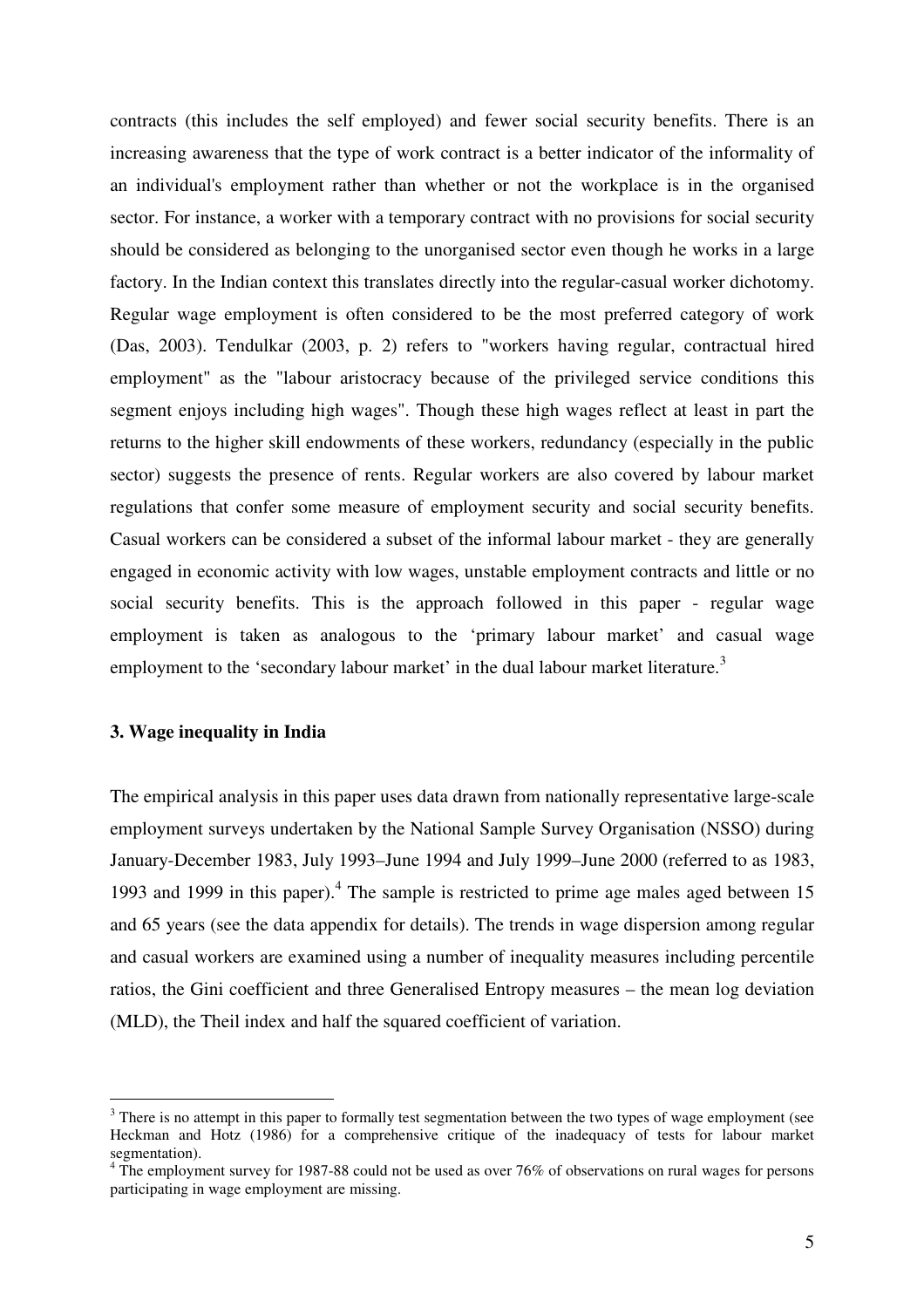contracts (this includes the self employed) and fewer social security benefits. There is an increasing awareness that the type of work contract is a better indicator of the informality of an individual's employment rather than whether or not the workplace is in the organised sector. For instance, a worker with a temporary contract with no provisions for social security should be considered as belonging to the unorganised sector even though he works in a large factory. In the Indian context this translates directly into the regular-casual worker dichotomy. Regular wage employment is often considered to be the most preferred category of work (Das, 2003). Tendulkar (2003, p. 2) refers to "workers having regular, contractual hired employment" as the "labour aristocracy because of the privileged service conditions this segment enjoys including high wages". Though these high wages reflect at least in part the returns to the higher skill endowments of these workers, redundancy (especially in the public sector) suggests the presence of rents. Regular workers are also covered by labour market regulations that confer some measure of employment security and social security benefits. Casual workers can be considered a subset of the informal labour market - they are generally engaged in economic activity with low wages, unstable employment contracts and little or no social security benefits. This is the approach followed in this paper - regular wage employment is taken as analogous to the 'primary labour market' and casual wage employment to the 'secondary labour market' in the dual labour market literature.<sup>3</sup>

#### **3. Wage inequality in India**

The empirical analysis in this paper uses data drawn from nationally representative large-scale employment surveys undertaken by the National Sample Survey Organisation (NSSO) during January-December 1983, July 1993–June 1994 and July 1999–June 2000 (referred to as 1983, 1993 and 1999 in this paper). 4 The sample is restricted to prime age males aged between 15 and 65 years (see the data appendix for details). The trends in wage dispersion among regular and casual workers are examined using a number of inequality measures including percentile ratios, the Gini coefficient and three Generalised Entropy measures – the mean log deviation (MLD), the Theil index and half the squared coefficient of variation.

<sup>&</sup>lt;sup>3</sup> There is no attempt in this paper to formally test segmentation between the two types of wage employment (see Heckman and Hotz (1986) for a comprehensive critique of the inadequacy of tests for labour market segmentation).

 $4\text{ The employment survey for }1987-88 \text{ could not be used as over }76\%$  of observations on rural wages for persons participating in wage employment are missing.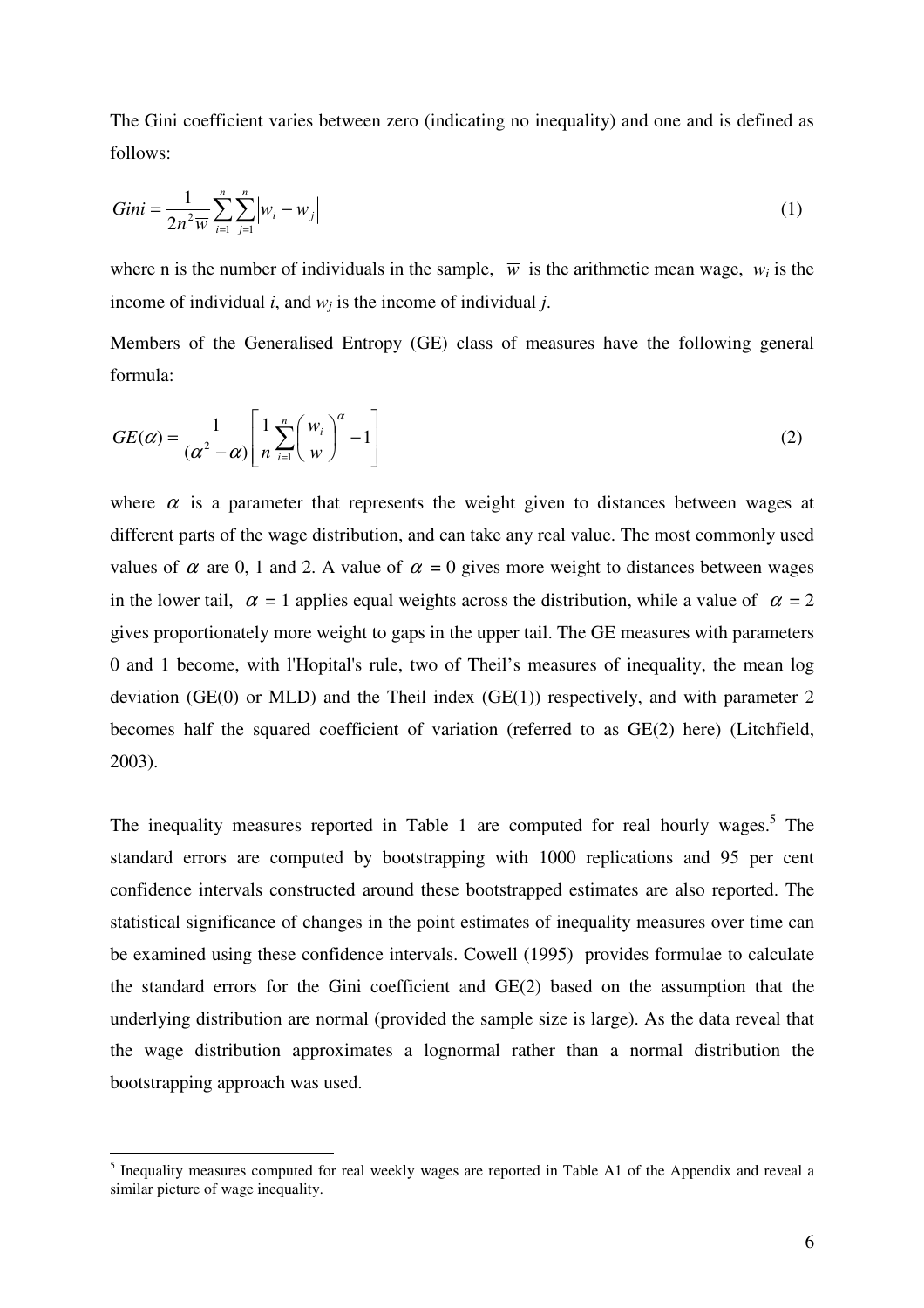The Gini coefficient varies between zero (indicating no inequality) and one and is defined as follows:

$$
Gini = \frac{1}{2n^2 \overline{w}} \sum_{i=1}^{n} \sum_{j=1}^{n} \left| w_i - w_j \right|
$$
 (1)

where n is the number of individuals in the sample,  $\overline{w}$  is the arithmetic mean wage,  $w_i$  is the income of individual *i*, and *w<sup>j</sup>* is the income of individual *j*.

Members of the Generalised Entropy (GE) class of measures have the following general formula:

$$
GE(\alpha) = \frac{1}{(\alpha^2 - \alpha)} \left[ \frac{1}{n} \sum_{i=1}^{n} \left( \frac{w_i}{\overline{w}} \right)^{\alpha} - 1 \right]
$$
 (2)

where  $\alpha$  is a parameter that represents the weight given to distances between wages at different parts of the wage distribution, and can take any real value. The most commonly used values of  $\alpha$  are 0, 1 and 2. A value of  $\alpha = 0$  gives more weight to distances between wages in the lower tail,  $\alpha = 1$  applies equal weights across the distribution, while a value of  $\alpha = 2$ gives proportionately more weight to gaps in the upper tail. The GE measures with parameters 0 and 1 become, with l'Hopital's rule, two of Theil's measures of inequality, the mean log deviation (GE(0) or MLD) and the Theil index (GE(1)) respectively, and with parameter  $2$ becomes half the squared coefficient of variation (referred to as GE(2) here) (Litchfield, 2003).

The inequality measures reported in Table 1 are computed for real hourly wages.<sup>5</sup> The standard errors are computed by bootstrapping with 1000 replications and 95 per cent confidence intervals constructed around these bootstrapped estimates are also reported. The statistical significance of changes in the point estimates of inequality measures over time can be examined using these confidence intervals. Cowell (1995) provides formulae to calculate the standard errors for the Gini coefficient and GE(2) based on the assumption that the underlying distribution are normal (provided the sample size is large). As the data reveal that the wage distribution approximates a lognormal rather than a normal distribution the bootstrapping approach was used.

<sup>&</sup>lt;sup>5</sup> Inequality measures computed for real weekly wages are reported in Table A1 of the Appendix and reveal a similar picture of wage inequality.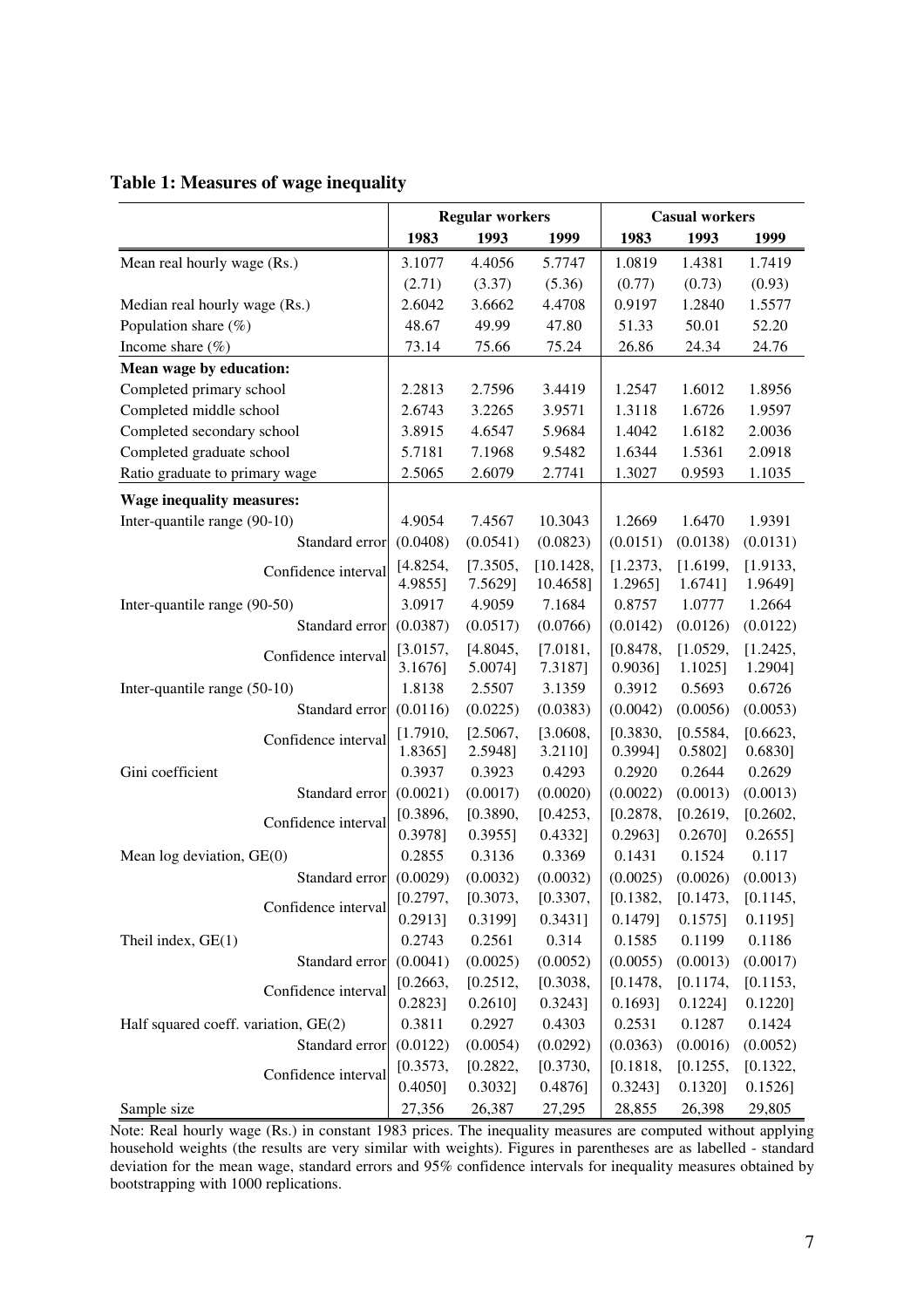| Table 1: Measures of wage inequality |  |  |  |  |
|--------------------------------------|--|--|--|--|
|--------------------------------------|--|--|--|--|

|                                      | <b>Regular workers</b> |            | <b>Casual workers</b> |            |            |          |
|--------------------------------------|------------------------|------------|-----------------------|------------|------------|----------|
|                                      | 1983                   | 1993       | 1999                  | 1983       | 1993       | 1999     |
| Mean real hourly wage (Rs.)          | 3.1077                 | 4.4056     | 5.7747                | 1.0819     | 1.4381     | 1.7419   |
|                                      | (2.71)                 | (3.37)     | (5.36)                | (0.77)     | (0.73)     | (0.93)   |
| Median real hourly wage (Rs.)        | 2.6042                 | 3.6662     | 4.4708                | 0.9197     | 1.2840     | 1.5577   |
| Population share $(\%)$              | 48.67                  | 49.99      | 47.80                 | 51.33      | 50.01      | 52.20    |
| Income share $(\% )$                 | 73.14                  | 75.66      | 75.24                 | 26.86      | 24.34      | 24.76    |
| Mean wage by education:              |                        |            |                       |            |            |          |
| Completed primary school             | 2.2813                 | 2.7596     | 3.4419                | 1.2547     | 1.6012     | 1.8956   |
| Completed middle school              | 2.6743                 | 3.2265     | 3.9571                | 1.3118     | 1.6726     | 1.9597   |
| Completed secondary school           | 3.8915                 | 4.6547     | 5.9684                | 1.4042     | 1.6182     | 2.0036   |
| Completed graduate school            | 5.7181                 | 7.1968     | 9.5482                | 1.6344     | 1.5361     | 2.0918   |
| Ratio graduate to primary wage       | 2.5065                 | 2.6079     | 2.7741                | 1.3027     | 0.9593     | 1.1035   |
| <b>Wage inequality measures:</b>     |                        |            |                       |            |            |          |
| Inter-quantile range (90-10)         | 4.9054                 | 7.4567     | 10.3043               | 1.2669     | 1.6470     | 1.9391   |
| Standard error                       | (0.0408)               | (0.0541)   | (0.0823)              | (0.0151)   | (0.0138)   | (0.0131) |
| Confidence interval                  | [4.8254,               | [7.3505,   | [10.1428,             | [1.2373,   | [1.6199,   | [1.9133, |
|                                      | 4.9855]                | 7.5629]    | 10.4658]              | 1.2965]    | 1.6741]    | 1.9649]  |
| Inter-quantile range (90-50)         | 3.0917                 | 4.9059     | 7.1684                | 0.8757     | 1.0777     | 1.2664   |
| Standard error                       | (0.0387)               | (0.0517)   | (0.0766)              | (0.0142)   | (0.0126)   | (0.0122) |
| Confidence interval                  | [3.0157,               | [4.8045,   | [7.0181,              | [0.8478,   | [1.0529,   | [1.2425, |
|                                      | 3.1676]                | 5.0074]    | 7.3187]               | $0.9036$ ] | $1.1025$ ] | 1.2904]  |
| Inter-quantile range (50-10)         | 1.8138                 | 2.5507     | 3.1359                | 0.3912     | 0.5693     | 0.6726   |
| Standard error                       | (0.0116)               | (0.0225)   | (0.0383)              | (0.0042)   | (0.0056)   | (0.0053) |
| Confidence interval                  | [1.7910,               | [2.5067,   | [3.0608,              | [0.3830,   | [0.5584,   | [0.6623, |
|                                      | 1.8365]                | 2.5948]    | 3.2110]               | 0.3994]    | 0.5802     | 0.6830]  |
| Gini coefficient                     | 0.3937                 | 0.3923     | 0.4293                | 0.2920     | 0.2644     | 0.2629   |
| Standard error                       | (0.0021)               | (0.0017)   | (0.0020)              | (0.0022)   | (0.0013)   | (0.0013) |
| Confidence interval                  | [0.3896,               | [0.3890,   | [0.4253,              | [0.2878,   | [0.2619,   | [0.2602, |
|                                      | 0.3978]                | $0.3955$ ] | 0.4332]               | 0.2963]    | 0.2670]    | 0.2655]  |
| Mean log deviation, GE(0)            | 0.2855                 | 0.3136     | 0.3369                | 0.1431     | 0.1524     | 0.117    |
| Standard error                       | (0.0029)               | (0.0032)   | (0.0032)              | (0.0025)   | (0.0026)   | (0.0013) |
| Confidence interval                  | [0.2797,               | [0.3073,   | [0.3307,              | [0.1382,   | [0.1473,   | [0.1145, |
|                                      | 0.2913]                | 0.3199]    | 0.3431]               | 0.1479]    | $0.1575$ ] | 0.1195]  |
| Theil index, GE(1)                   | 0.2743                 | 0.2561     | 0.314                 | 0.1585     | 0.1199     | 0.1186   |
| Standard error                       | (0.0041)               | (0.0025)   | (0.0052)              | (0.0055)   | (0.0013)   | (0.0017) |
| Confidence interval                  | [0.2663,               | [0.2512,   | [0.3038,              | [0.1478,   | [0.1174,   | [0.1153, |
|                                      | 0.2823]                | 0.2610]    | $0.3243$ ]            | $0.1693$ ] | 0.1224]    | 0.1220]  |
| Half squared coeff. variation, GE(2) | 0.3811                 | 0.2927     | 0.4303                | 0.2531     | 0.1287     | 0.1424   |
| Standard error                       | (0.0122)               | (0.0054)   | (0.0292)              | (0.0363)   | (0.0016)   | (0.0052) |
| Confidence interval                  | [0.3573,               | [0.2822,   | [0.3730,              | [0.1818,   | [0.1255,   | [0.1322, |
|                                      | 0.4050]                | 0.3032]    | 0.4876                | 0.3243]    | 0.1320]    | 0.1526   |
| Sample size                          | 27,356                 | 26,387     | 27,295                | 28,855     | 26,398     | 29,805   |

Note: Real hourly wage (Rs.) in constant 1983 prices. The inequality measures are computed without applying household weights (the results are very similar with weights). Figures in parentheses are as labelled - standard deviation for the mean wage, standard errors and 95% confidence intervals for inequality measures obtained by bootstrapping with 1000 replications.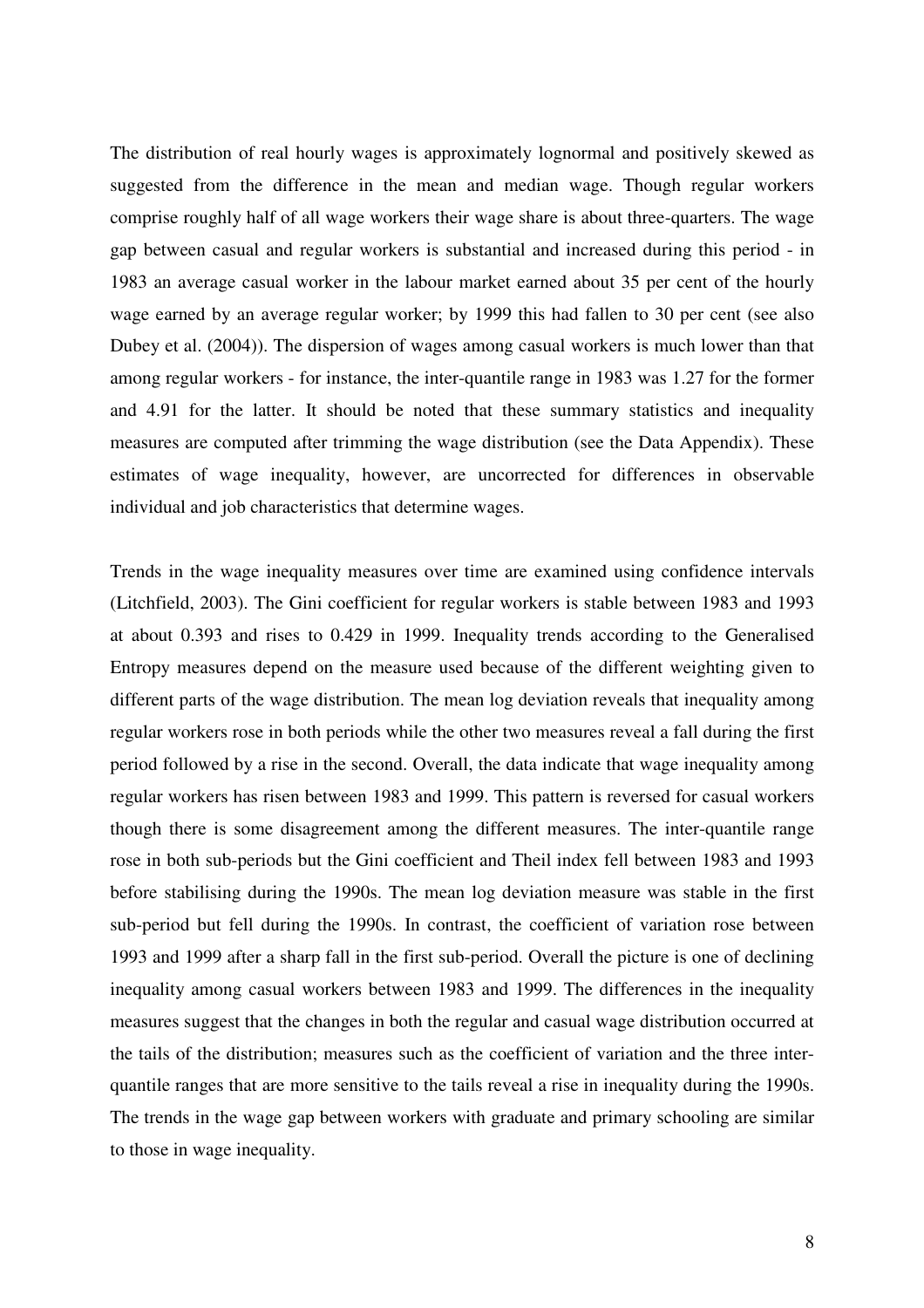The distribution of real hourly wages is approximately lognormal and positively skewed as suggested from the difference in the mean and median wage. Though regular workers comprise roughly half of all wage workers their wage share is about three-quarters. The wage gap between casual and regular workers is substantial and increased during this period - in 1983 an average casual worker in the labour market earned about 35 per cent of the hourly wage earned by an average regular worker; by 1999 this had fallen to 30 per cent (see also Dubey et al. (2004)). The dispersion of wages among casual workers is much lower than that among regular workers - for instance, the inter-quantile range in 1983 was 1.27 for the former and 4.91 for the latter. It should be noted that these summary statistics and inequality measures are computed after trimming the wage distribution (see the Data Appendix). These estimates of wage inequality, however, are uncorrected for differences in observable individual and job characteristics that determine wages.

Trends in the wage inequality measures over time are examined using confidence intervals (Litchfield, 2003). The Gini coefficient for regular workers is stable between 1983 and 1993 at about 0.393 and rises to 0.429 in 1999. Inequality trends according to the Generalised Entropy measures depend on the measure used because of the different weighting given to different parts of the wage distribution. The mean log deviation reveals that inequality among regular workers rose in both periods while the other two measures reveal a fall during the first period followed by a rise in the second. Overall, the data indicate that wage inequality among regular workers has risen between 1983 and 1999. This pattern is reversed for casual workers though there is some disagreement among the different measures. The inter-quantile range rose in both sub-periods but the Gini coefficient and Theil index fell between 1983 and 1993 before stabilising during the 1990s. The mean log deviation measure was stable in the first sub-period but fell during the 1990s. In contrast, the coefficient of variation rose between 1993 and 1999 after a sharp fall in the first sub-period. Overall the picture is one of declining inequality among casual workers between 1983 and 1999. The differences in the inequality measures suggest that the changes in both the regular and casual wage distribution occurred at the tails of the distribution; measures such as the coefficient of variation and the three interquantile ranges that are more sensitive to the tails reveal a rise in inequality during the 1990s. The trends in the wage gap between workers with graduate and primary schooling are similar to those in wage inequality.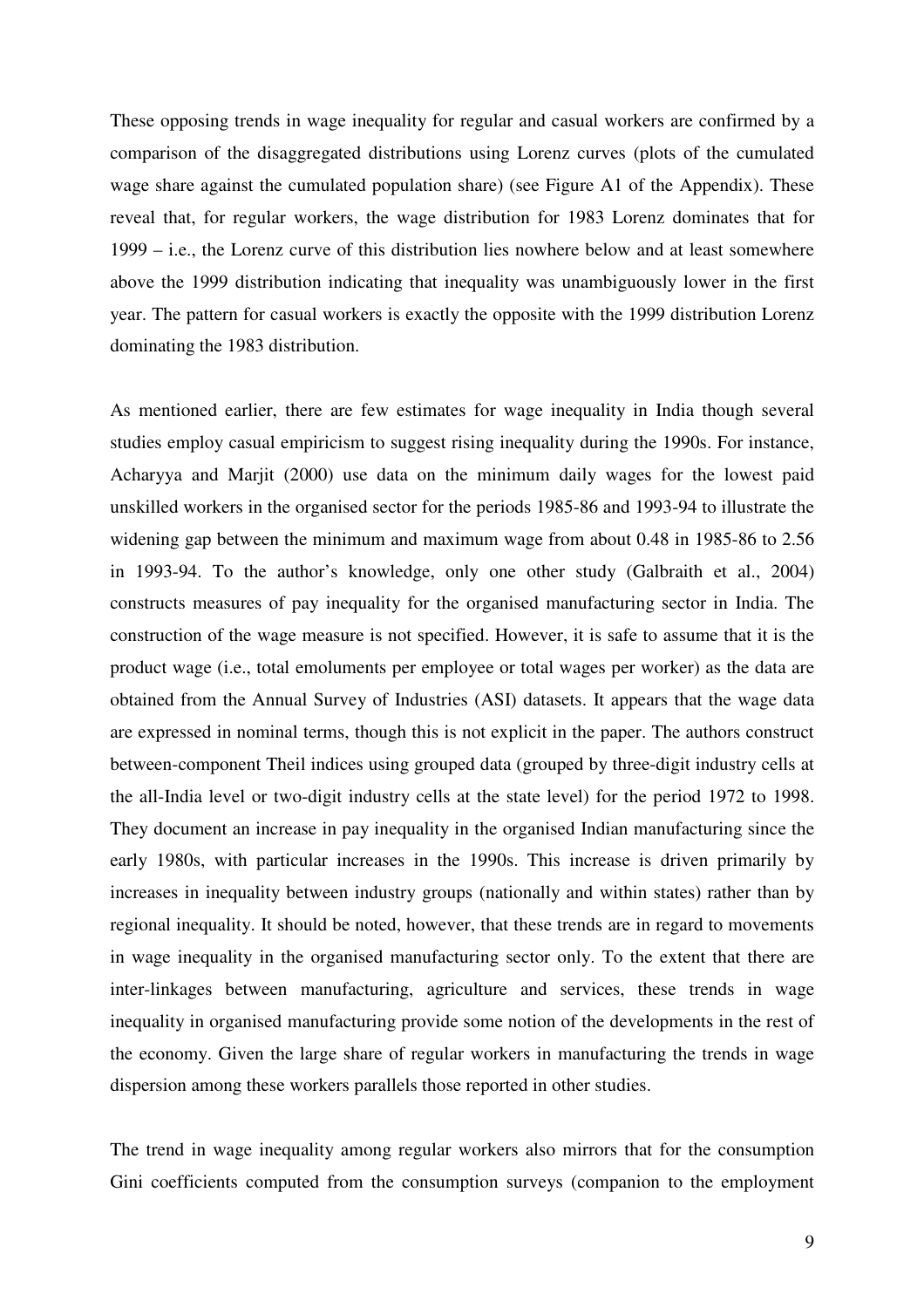These opposing trends in wage inequality for regular and casual workers are confirmed by a comparison of the disaggregated distributions using Lorenz curves (plots of the cumulated wage share against the cumulated population share) (see Figure A1 of the Appendix). These reveal that, for regular workers, the wage distribution for 1983 Lorenz dominates that for 1999 – i.e., the Lorenz curve of this distribution lies nowhere below and at least somewhere above the 1999 distribution indicating that inequality was unambiguously lower in the first year. The pattern for casual workers is exactly the opposite with the 1999 distribution Lorenz dominating the 1983 distribution.

As mentioned earlier, there are few estimates for wage inequality in India though several studies employ casual empiricism to suggest rising inequality during the 1990s. For instance, Acharyya and Marjit (2000) use data on the minimum daily wages for the lowest paid unskilled workers in the organised sector for the periods 1985-86 and 1993-94 to illustrate the widening gap between the minimum and maximum wage from about 0.48 in 1985-86 to 2.56 in 1993-94. To the author's knowledge, only one other study (Galbraith et al., 2004) constructs measures of pay inequality for the organised manufacturing sector in India. The construction of the wage measure is not specified. However, it is safe to assume that it is the product wage (i.e., total emoluments per employee or total wages per worker) as the data are obtained from the Annual Survey of Industries (ASI) datasets. It appears that the wage data are expressed in nominal terms, though this is not explicit in the paper. The authors construct between-component Theil indices using grouped data (grouped by three-digit industry cells at the all-India level or two-digit industry cells at the state level) for the period 1972 to 1998. They document an increase in pay inequality in the organised Indian manufacturing since the early 1980s, with particular increases in the 1990s. This increase is driven primarily by increases in inequality between industry groups (nationally and within states) rather than by regional inequality. It should be noted, however, that these trends are in regard to movements in wage inequality in the organised manufacturing sector only. To the extent that there are inter-linkages between manufacturing, agriculture and services, these trends in wage inequality in organised manufacturing provide some notion of the developments in the rest of the economy. Given the large share of regular workers in manufacturing the trends in wage dispersion among these workers parallels those reported in other studies.

The trend in wage inequality among regular workers also mirrors that for the consumption Gini coefficients computed from the consumption surveys (companion to the employment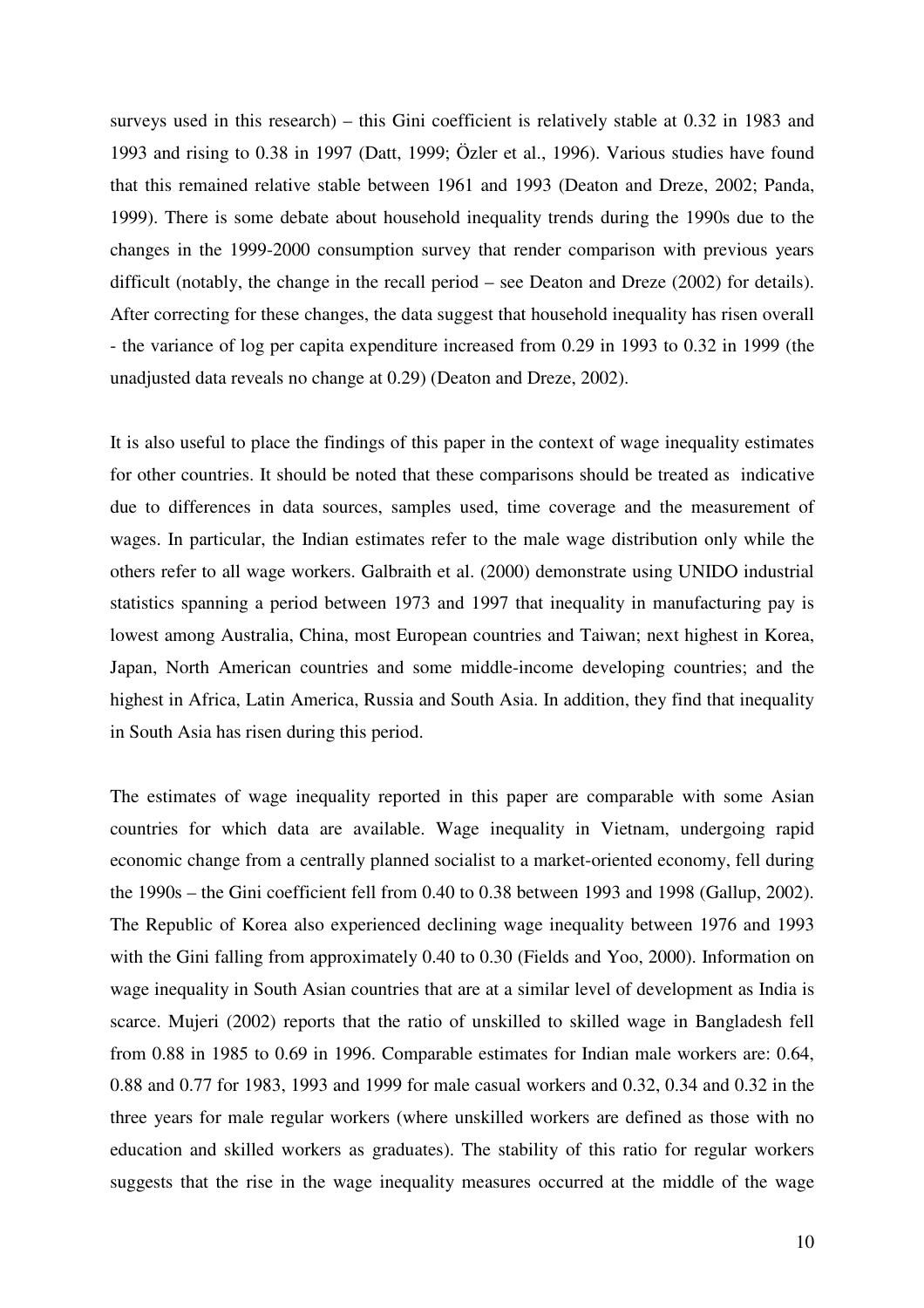surveys used in this research) – this Gini coefficient is relatively stable at 0.32 in 1983 and 1993 and rising to 0.38 in 1997 (Datt, 1999; Özler et al., 1996). Various studies have found that this remained relative stable between 1961 and 1993 (Deaton and Dreze, 2002; Panda, 1999). There is some debate about household inequality trends during the 1990s due to the changes in the 1999-2000 consumption survey that render comparison with previous years difficult (notably, the change in the recall period – see Deaton and Dreze (2002) for details). After correcting for these changes, the data suggest that household inequality has risen overall - the variance of log per capita expenditure increased from 0.29 in 1993 to 0.32 in 1999 (the unadjusted data reveals no change at 0.29) (Deaton and Dreze, 2002).

It is also useful to place the findings of this paper in the context of wage inequality estimates for other countries. It should be noted that these comparisons should be treated as indicative due to differences in data sources, samples used, time coverage and the measurement of wages. In particular, the Indian estimates refer to the male wage distribution only while the others refer to all wage workers. Galbraith et al. (2000) demonstrate using UNIDO industrial statistics spanning a period between 1973 and 1997 that inequality in manufacturing pay is lowest among Australia, China, most European countries and Taiwan; next highest in Korea, Japan, North American countries and some middle-income developing countries; and the highest in Africa, Latin America, Russia and South Asia. In addition, they find that inequality in South Asia has risen during this period.

The estimates of wage inequality reported in this paper are comparable with some Asian countries for which data are available. Wage inequality in Vietnam, undergoing rapid economic change from a centrally planned socialist to a market-oriented economy, fell during the 1990s – the Gini coefficient fell from 0.40 to 0.38 between 1993 and 1998 (Gallup, 2002). The Republic of Korea also experienced declining wage inequality between 1976 and 1993 with the Gini falling from approximately 0.40 to 0.30 (Fields and Yoo, 2000). Information on wage inequality in South Asian countries that are at a similar level of development as India is scarce. Mujeri (2002) reports that the ratio of unskilled to skilled wage in Bangladesh fell from 0.88 in 1985 to 0.69 in 1996. Comparable estimates for Indian male workers are: 0.64, 0.88 and 0.77 for 1983, 1993 and 1999 for male casual workers and 0.32, 0.34 and 0.32 in the three years for male regular workers (where unskilled workers are defined as those with no education and skilled workers as graduates). The stability of this ratio for regular workers suggests that the rise in the wage inequality measures occurred at the middle of the wage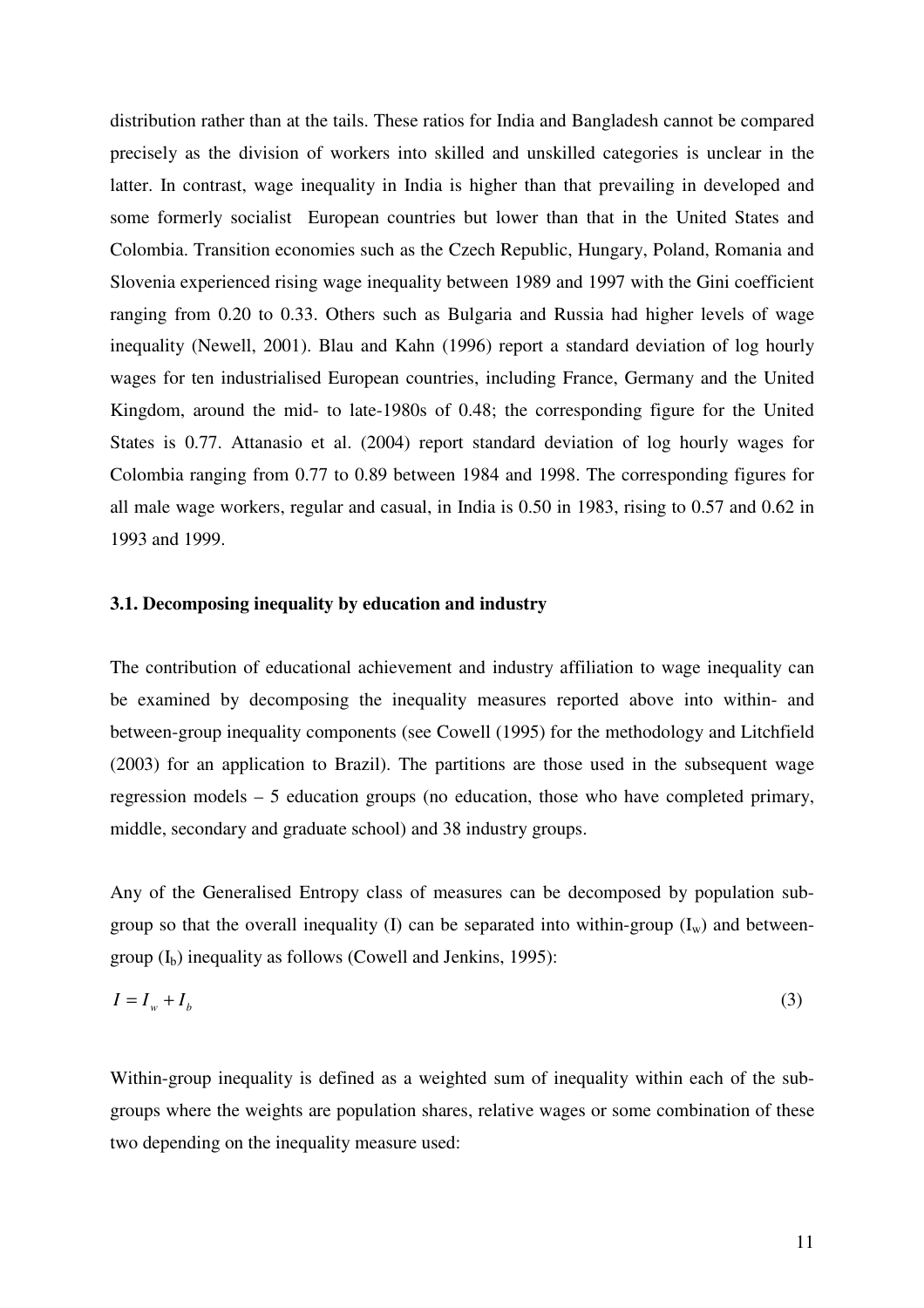distribution rather than at the tails. These ratios for India and Bangladesh cannot be compared precisely as the division of workers into skilled and unskilled categories is unclear in the latter. In contrast, wage inequality in India is higher than that prevailing in developed and some formerly socialist European countries but lower than that in the United States and Colombia. Transition economies such as the Czech Republic, Hungary, Poland, Romania and Slovenia experienced rising wage inequality between 1989 and 1997 with the Gini coefficient ranging from 0.20 to 0.33. Others such as Bulgaria and Russia had higher levels of wage inequality (Newell, 2001). Blau and Kahn (1996) report a standard deviation of log hourly wages for ten industrialised European countries, including France, Germany and the United Kingdom, around the mid- to late-1980s of 0.48; the corresponding figure for the United States is 0.77. Attanasio et al. (2004) report standard deviation of log hourly wages for Colombia ranging from 0.77 to 0.89 between 1984 and 1998. The corresponding figures for all male wage workers, regular and casual, in India is 0.50 in 1983, rising to 0.57 and 0.62 in 1993 and 1999.

## **3.1. Decomposing inequality by education and industry**

The contribution of educational achievement and industry affiliation to wage inequality can be examined by decomposing the inequality measures reported above into within- and between-group inequality components (see Cowell (1995) for the methodology and Litchfield (2003) for an application to Brazil). The partitions are those used in the subsequent wage regression models – 5 education groups (no education, those who have completed primary, middle, secondary and graduate school) and 38 industry groups.

Any of the Generalised Entropy class of measures can be decomposed by population subgroup so that the overall inequality (I) can be separated into within-group  $(I_w)$  and betweengroup  $(I_b)$  inequality as follows (Cowell and Jenkins, 1995):

$$
I = I_w + I_b \tag{3}
$$

Within-group inequality is defined as a weighted sum of inequality within each of the subgroups where the weights are population shares, relative wages or some combination of these two depending on the inequality measure used: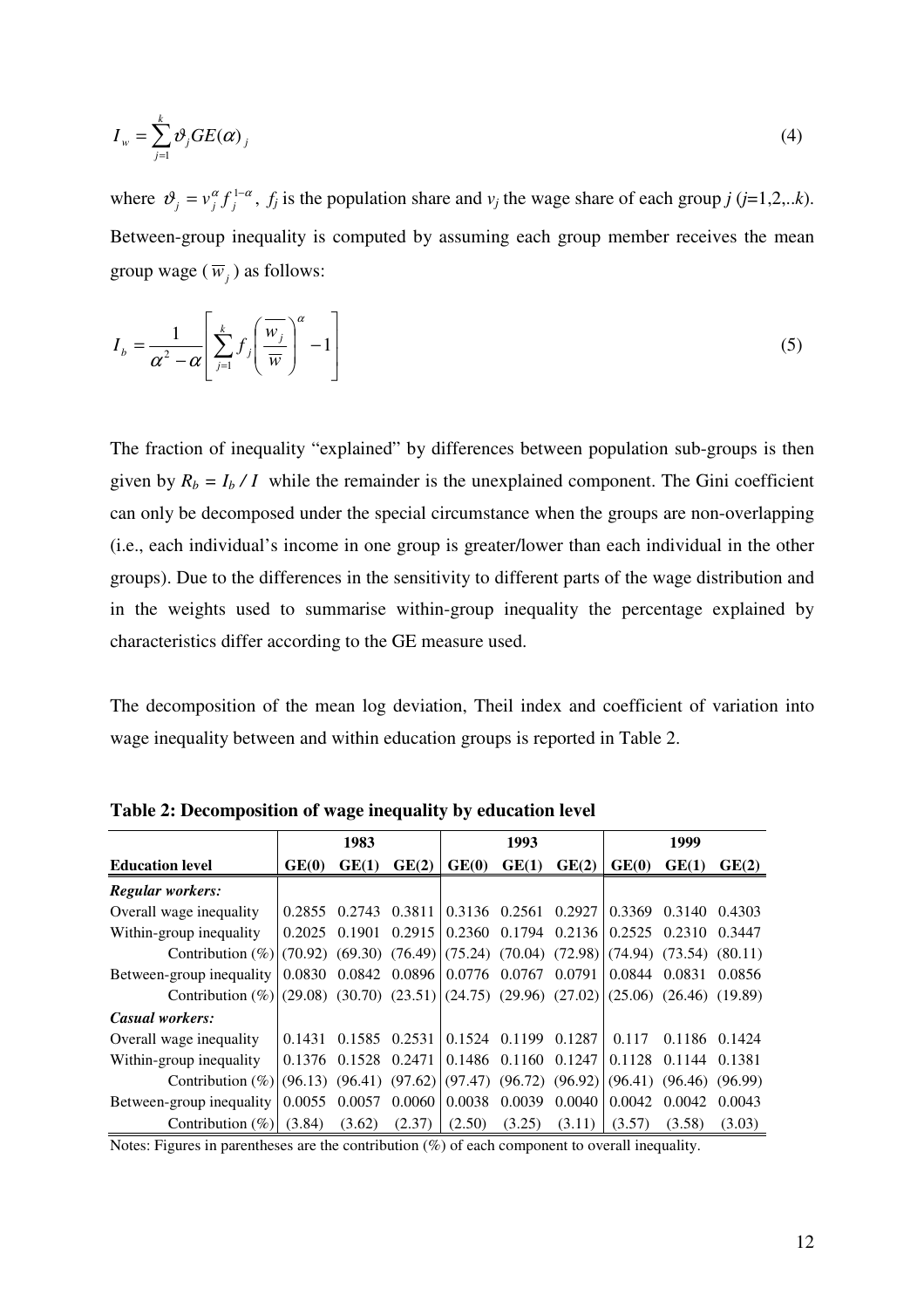$$
I_{w} = \sum_{j=1}^{k} \vartheta_{j} GE(\alpha)_{j}
$$
 (4)

where  $v_i = v_i^{\alpha} f_i^{1-\alpha}$  $j = v_j^{\alpha} f_j^{1-\alpha}$ ,  $f_j$  is the population share and  $v_j$  the wage share of each group *j* (*j*=1,2,..*k*). Between-group inequality is computed by assuming each group member receives the mean group wage ( $\overline{w}_j$ ) as follows:

$$
I_b = \frac{1}{\alpha^2 - \alpha} \left[ \sum_{j=1}^k f_j \left( \frac{\overline{w}_j}{\overline{w}} \right)^{\alpha} - 1 \right]
$$
 (5)

The fraction of inequality "explained" by differences between population sub-groups is then given by  $R_b = I_b / I$  while the remainder is the unexplained component. The Gini coefficient can only be decomposed under the special circumstance when the groups are non-overlapping (i.e., each individual's income in one group is greater/lower than each individual in the other groups). Due to the differences in the sensitivity to different parts of the wage distribution and in the weights used to summarise within-group inequality the percentage explained by characteristics differ according to the GE measure used.

The decomposition of the mean log deviation, Theil index and coefficient of variation into wage inequality between and within education groups is reported in Table 2.

|                                                                                          |        | 1983   |        |        | 1993                                                  |        |               | 1999                          |        |
|------------------------------------------------------------------------------------------|--------|--------|--------|--------|-------------------------------------------------------|--------|---------------|-------------------------------|--------|
| <b>Education level</b>                                                                   | GE(0)  | GE(1)  | GE(2)  | GE(0)  | GE(1)                                                 | GE(2)  | GE(0)         | GE(1)                         | GE(2)  |
| <b>Regular workers:</b>                                                                  |        |        |        |        |                                                       |        |               |                               |        |
| Overall wage inequality                                                                  | 0.2855 | 0.2743 | 0.3811 |        | 10.3136 0.2561                                        | 0.2927 | 0.3369        | 0.3140                        | 0.4303 |
| Within-group inequality                                                                  | 0.2025 | 0.1901 | 0.2915 |        | $\vert 0.2360 \vert 0.1794 \vert 0.2136 \vert$        |        |               | 0.2525 0.2310                 | 0.3447 |
| Contribution (%) (70.92) (69.30) (76.49) (75.24) (70.04) (72.98) (74.94) (73.54) (80.11) |        |        |        |        |                                                       |        |               |                               |        |
| Between-group inequality                                                                 |        |        |        |        | $0.0830$ $0.0842$ $0.0896$ $0.0776$ $0.0767$ $0.0791$ |        | 0.0844 0.0831 |                               | 0.0856 |
| Contribution (%)(29.08) (30.70) (23.51)(24.75) (29.96) (27.02)                           |        |        |        |        |                                                       |        |               | $(25.06)$ $(26.46)$ $(19.89)$ |        |
| Casual workers:                                                                          |        |        |        |        |                                                       |        |               |                               |        |
| Overall wage inequality                                                                  | 0.1431 | 0.1585 | 0.2531 | 0.1524 | 0.1199                                                | 0.1287 | 0.117         | 0.1186                        | 0.1424 |
| Within-group inequality                                                                  | 0.1376 | 0.1528 | 0.2471 |        | 0.1486 0.1160 0.1247                                  |        |               | 0.1128 0.1144                 | 0.1381 |
| Contribution $(\%)$ (96.13) (96.41) (97.62) (97.47) (96.72) (96.92)                      |        |        |        |        |                                                       |        |               | $(96.41)$ $(96.46)$ $(96.99)$ |        |
| Between-group inequality                                                                 | 0.0055 | 0.0057 | 0.0060 | 0.0038 | 0.0039                                                | 0.0040 | 0.0042        | 0.0042                        | 0.0043 |
| Contribution $(\%)$                                                                      | (3.84) | (3.62) | (2.37) | (2.50) | (3.25)                                                | (3.11) | (3.57)        | (3.58)                        | (3.03) |

**Table 2: Decomposition of wage inequality by education level**

Notes: Figures in parentheses are the contribution (%) of each component to overall inequality.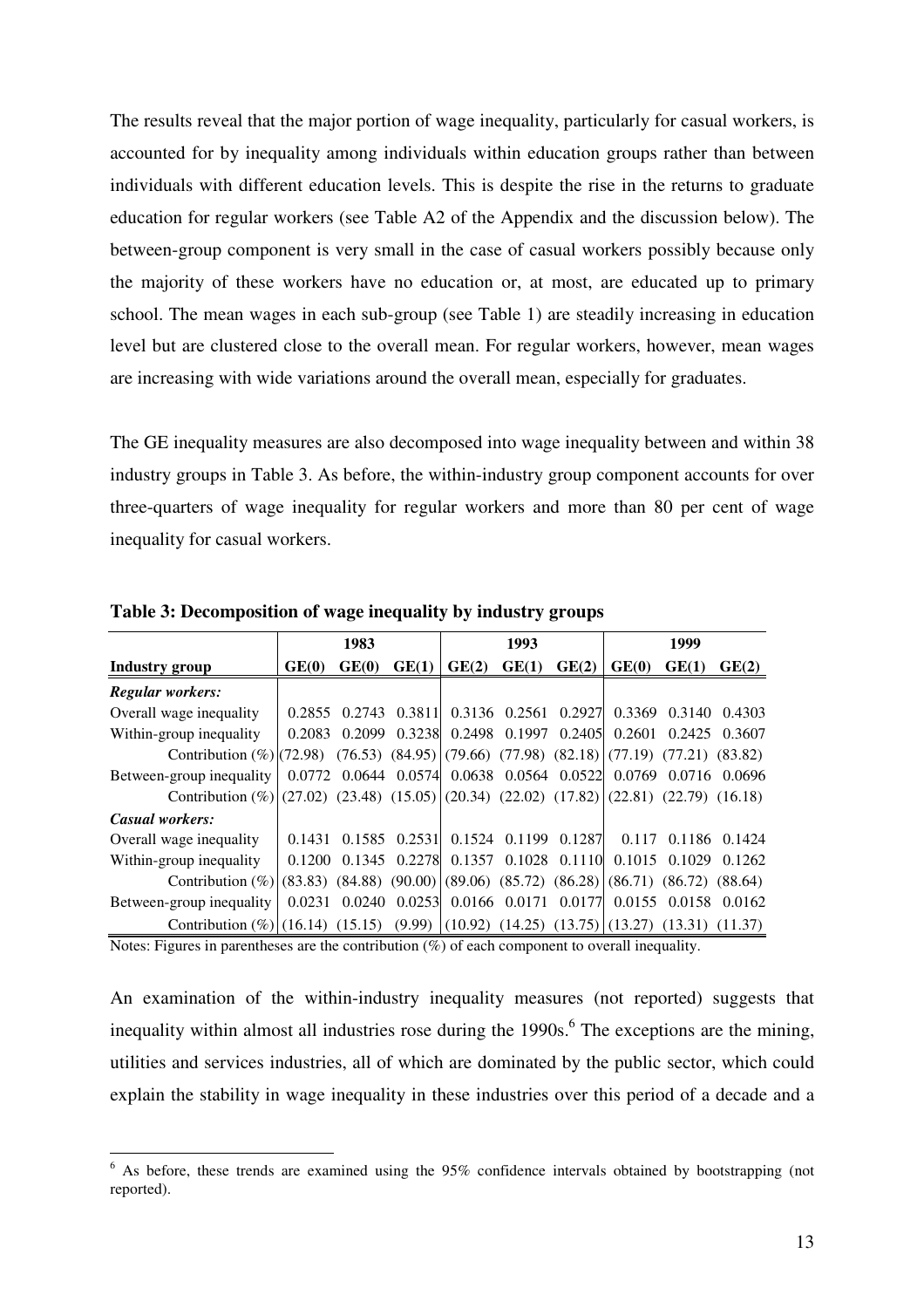The results reveal that the major portion of wage inequality, particularly for casual workers, is accounted for by inequality among individuals within education groups rather than between individuals with different education levels. This is despite the rise in the returns to graduate education for regular workers (see Table A2 of the Appendix and the discussion below). The between-group component is very small in the case of casual workers possibly because only the majority of these workers have no education or, at most, are educated up to primary school. The mean wages in each sub-group (see Table 1) are steadily increasing in education level but are clustered close to the overall mean. For regular workers, however, mean wages are increasing with wide variations around the overall mean, especially for graduates.

The GE inequality measures are also decomposed into wage inequality between and within 38 industry groups in Table 3. As before, the within-industry group component accounts for over three-quarters of wage inequality for regular workers and more than 80 per cent of wage inequality for casual workers.

|                                                                                                |        | 1983  |                   |                                                                      | 1993  |                      |        | 1999                 |               |
|------------------------------------------------------------------------------------------------|--------|-------|-------------------|----------------------------------------------------------------------|-------|----------------------|--------|----------------------|---------------|
| <b>Industry group</b>                                                                          | GE(0)  | GE(0) | GE(1)             | GE(2)                                                                | GE(1) | GE(2)                | GE(0)  | GE(1)                | GE(2)         |
| <b>Regular workers:</b>                                                                        |        |       |                   |                                                                      |       |                      |        |                      |               |
| Overall wage inequality                                                                        |        |       |                   | 0.2855 0.2743 0.3811 0.3136 0.2561 0.2927                            |       |                      |        | 0.3369 0.3140        | 0.4303        |
| Within-group inequality                                                                        |        |       |                   | 0.2083 0.2099 0.3238 0.2498 0.1997 0.2405 0.2601 0.2425 0.3607       |       |                      |        |                      |               |
| Contribution (%)(72.98) (76.53) (84.95)(79.66) (77.98) (82.18)(77.19) (77.21) (83.82)          |        |       |                   |                                                                      |       |                      |        |                      |               |
| Between-group inequality                                                                       |        |       |                   | 0.0772 0.0644 0.0574 0.0638 0.0564 0.0522 0.0769 0.0716 0.0696       |       |                      |        |                      |               |
| Contribution (%) (27.02) (23.48) (15.05) (20.34) (22.02) (17.82) (22.81) (22.79) (16.18)       |        |       |                   |                                                                      |       |                      |        |                      |               |
| Casual workers:                                                                                |        |       |                   |                                                                      |       |                      |        |                      |               |
| Overall wage inequality                                                                        | 0.1431 |       | $0.1585$ $0.2531$ |                                                                      |       | 0.1524 0.1199 0.1287 | 0.117  |                      | 0.1186 0.1424 |
| Within-group inequality                                                                        | 0.1200 |       | 0.1345 0.2278     |                                                                      |       | 0.1357 0.1028 0.1110 | 0.1015 | 0.1029               | 0.1262        |
| Contribution (%) $(83.83)$ (84.88) (90.00) $(89.06)$ (85.72) (86.28) $(86.71)$ (86.72) (88.64) |        |       |                   |                                                                      |       |                      |        |                      |               |
| Between-group inequality                                                                       |        |       |                   | 0.0231 0.0240 0.0253 0.0166 0.0171 0.0177                            |       |                      |        | 0.0155 0.0158 0.0162 |               |
| Contribution $(\%)(16.14)$ (15.15)                                                             |        |       |                   | $(9.99)$ $(10.92)$ $(14.25)$ $(13.75)$ $(13.27)$ $(13.31)$ $(11.37)$ |       |                      |        |                      |               |

**Table 3: Decomposition of wage inequality by industry groups**

Notes: Figures in parentheses are the contribution (%) of each component to overall inequality.

An examination of the within-industry inequality measures (not reported) suggests that inequality within almost all industries rose during the 1990s.<sup>6</sup> The exceptions are the mining, utilities and services industries, all of which are dominated by the public sector, which could explain the stability in wage inequality in these industries over this period of a decade and a

<sup>6</sup> As before, these trends are examined using the 95% confidence intervals obtained by bootstrapping (not reported).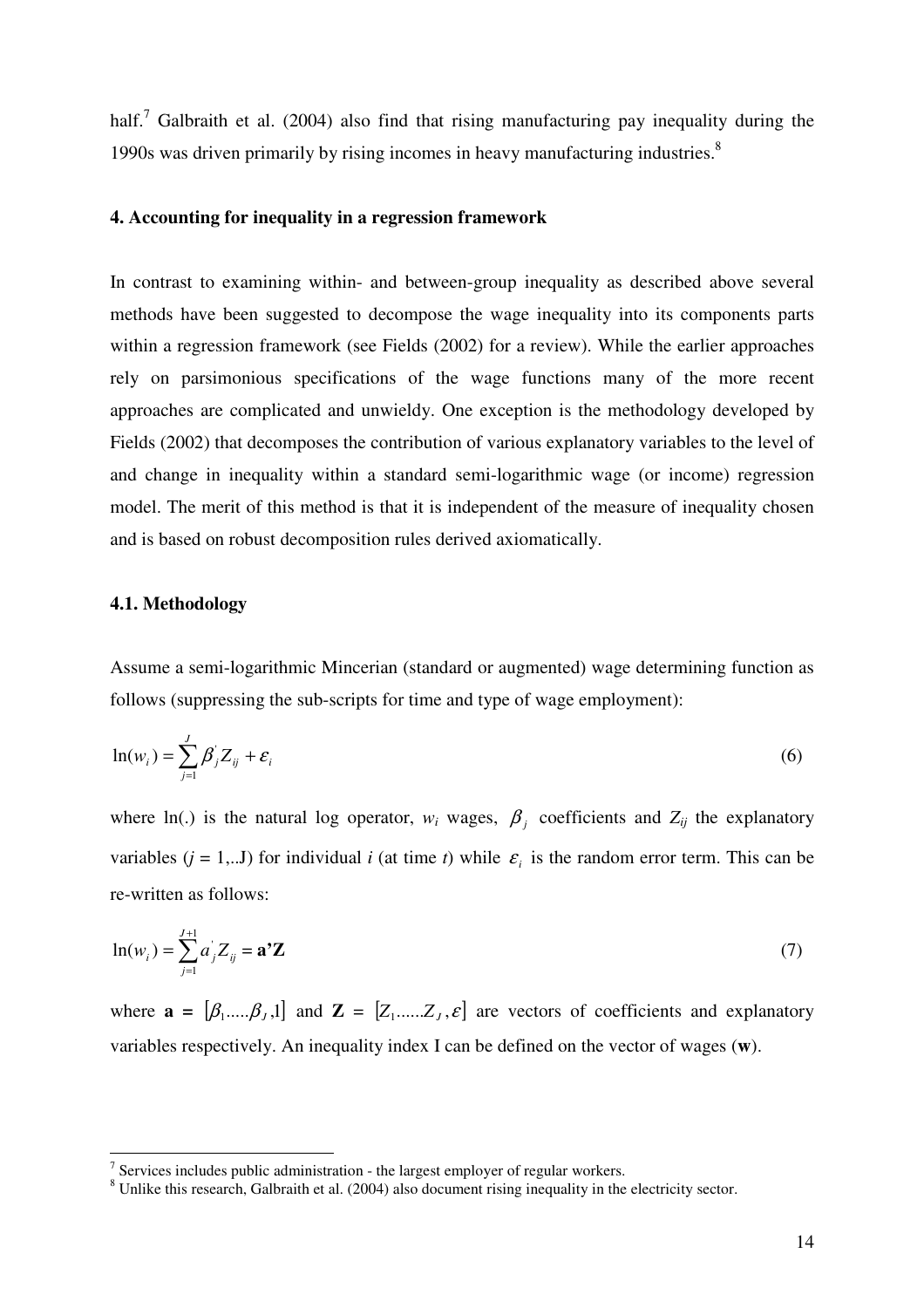half.<sup>7</sup> Galbraith et al. (2004) also find that rising manufacturing pay inequality during the 1990s was driven primarily by rising incomes in heavy manufacturing industries.<sup>8</sup>

## **4. Accounting for inequality in a regression framework**

In contrast to examining within- and between-group inequality as described above several methods have been suggested to decompose the wage inequality into its components parts within a regression framework (see Fields (2002) for a review). While the earlier approaches rely on parsimonious specifications of the wage functions many of the more recent approaches are complicated and unwieldy. One exception is the methodology developed by Fields (2002) that decomposes the contribution of various explanatory variables to the level of and change in inequality within a standard semi-logarithmic wage (or income) regression model. The merit of this method is that it is independent of the measure of inequality chosen and is based on robust decomposition rules derived axiomatically.

## **4.1. Methodology**

Assume a semi-logarithmic Mincerian (standard or augmented) wage determining function as follows (suppressing the sub-scripts for time and type of wage employment):

$$
\ln(w_i) = \sum_{j=1}^{J} \beta_j Z_{ij} + \varepsilon_i
$$
 (6)

where ln(.) is the natural log operator,  $w_i$  wages,  $\beta_j$  coefficients and  $Z_{ij}$  the explanatory variables  $(j = 1,..J)$  for individual *i* (at time *t*) while  $\varepsilon$ <sub>*i*</sub> is the random error term. This can be re-written as follows:

$$
\ln(w_i) = \sum_{j=1}^{J+1} a_j Z_{ij} = \mathbf{a}^{\dagger} \mathbf{Z}
$$
 (7)

where  $\mathbf{a} = [\beta_1, \dots, \beta_L, 1]$  and  $\mathbf{Z} = [Z_1, \dots, Z_L, \varepsilon]$  are vectors of coefficients and explanatory variables respectively. An inequality index I can be defined on the vector of wages (**w**).

 $7$  Services includes public administration - the largest employer of regular workers.

<sup>&</sup>lt;sup>8</sup> Unlike this research, Galbraith et al. (2004) also document rising inequality in the electricity sector.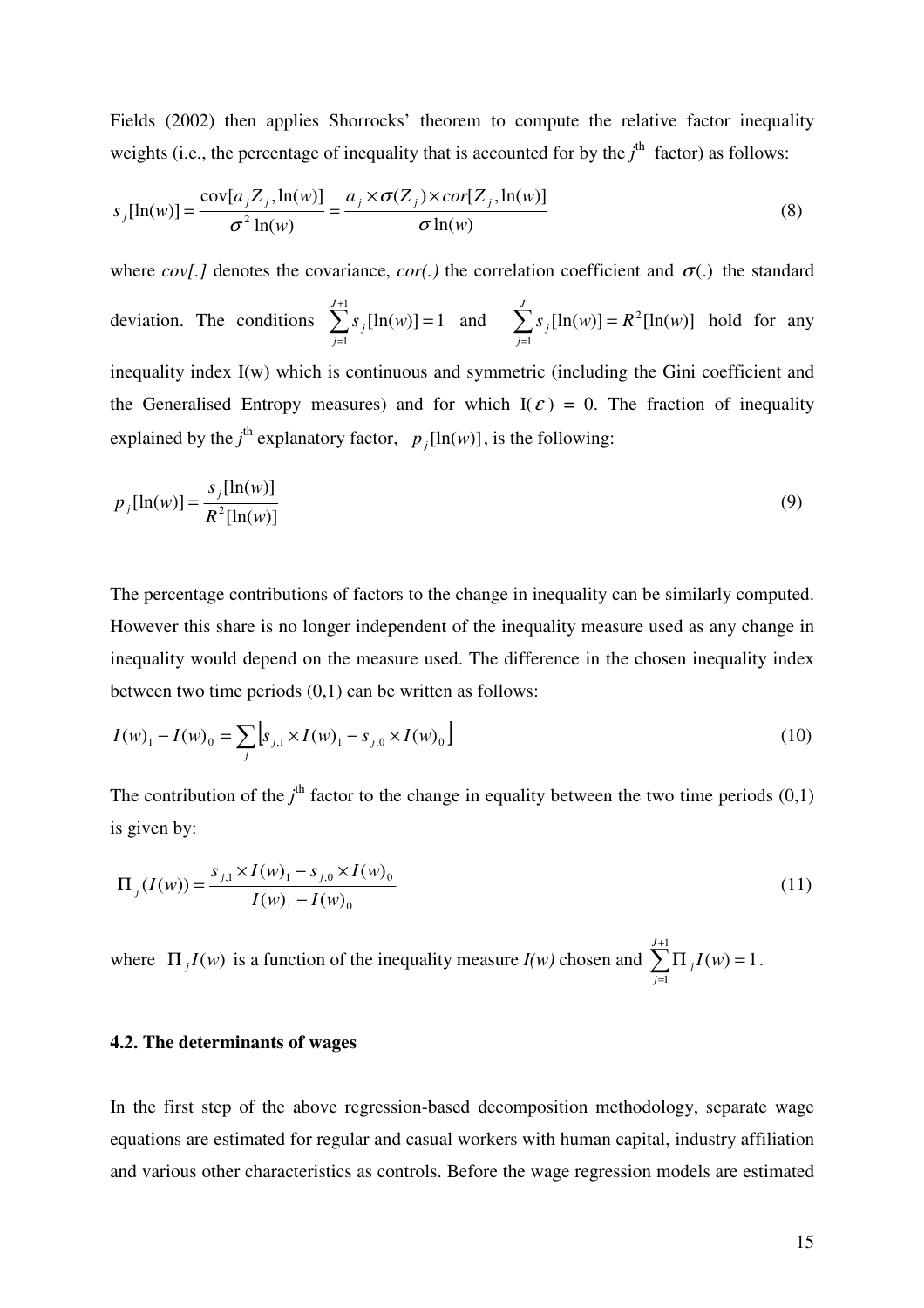Fields (2002) then applies Shorrocks' theorem to compute the relative factor inequality weights (i.e., the percentage of inequality that is accounted for by the  $j<sup>th</sup>$  factor) as follows:

$$
s_j[\ln(w)] = \frac{\text{cov}[a_j Z_j, \ln(w)]}{\sigma^2 \ln(w)} = \frac{a_j \times \sigma(Z_j) \times \text{cor}[Z_j, \ln(w)]}{\sigma \ln(w)}
$$
(8)

where *cov*[.] denotes the covariance, *cor*(.) the correlation coefficient and  $\sigma$ (.) the standard deviation. The conditions  $\sum s_i [\ln(w)] = 1$ 1 1  $\sum_{j=1}^{J+1} s_j [\ln(w)] =$ = *J j*  $s_j$ [ln(*w*)] = 1 and  $\sum s_j$ [ln(*w*)] =  $R^2$ [ln(*w*)] 1  $s_i$ [ln(*w*)] =  $R^2$ [ln(*w*) *J j*  $\sum s_j$ [ln(w)] = = hold for any inequality index I(w) which is continuous and symmetric (including the Gini coefficient and the Generalised Entropy measures) and for which  $I(\varepsilon) = 0$ . The fraction of inequality explained by the  $j^{\text{th}}$  explanatory factor,  $p_j[\ln(w)]$ , is the following:

$$
p_j[ln(w)] = \frac{s_j[ln(w)]}{R^2[ln(w)]}
$$
\n(9)

The percentage contributions of factors to the change in inequality can be similarly computed. However this share is no longer independent of the inequality measure used as any change in inequality would depend on the measure used. The difference in the chosen inequality index between two time periods (0,1) can be written as follows:

$$
I(w)_1 - I(w)_0 = \sum_{j} \left[ s_{j,1} \times I(w)_1 - s_{j,0} \times I(w)_0 \right]
$$
 (10)

The contribution of the  $j<sup>th</sup>$  factor to the change in equality between the two time periods  $(0,1)$ is given by:

$$
\Pi_j(I(w)) = \frac{s_{j,1} \times I(w)_1 - s_{j,0} \times I(w)_0}{I(w)_1 - I(w)_0}
$$
\n(11)

where  $\Pi_j I(w)$  is a function of the inequality measure  $I(w)$  chosen and  $\sum \Pi_j I(w) = 1$ 1 1  $\sum_{j=1}^{J+1} \prod_{j} I(w) =$ = *J j*  $I(w) = 1$ .

#### **4.2. The determinants of wages**

In the first step of the above regression-based decomposition methodology, separate wage equations are estimated for regular and casual workers with human capital, industry affiliation and various other characteristics as controls. Before the wage regression models are estimated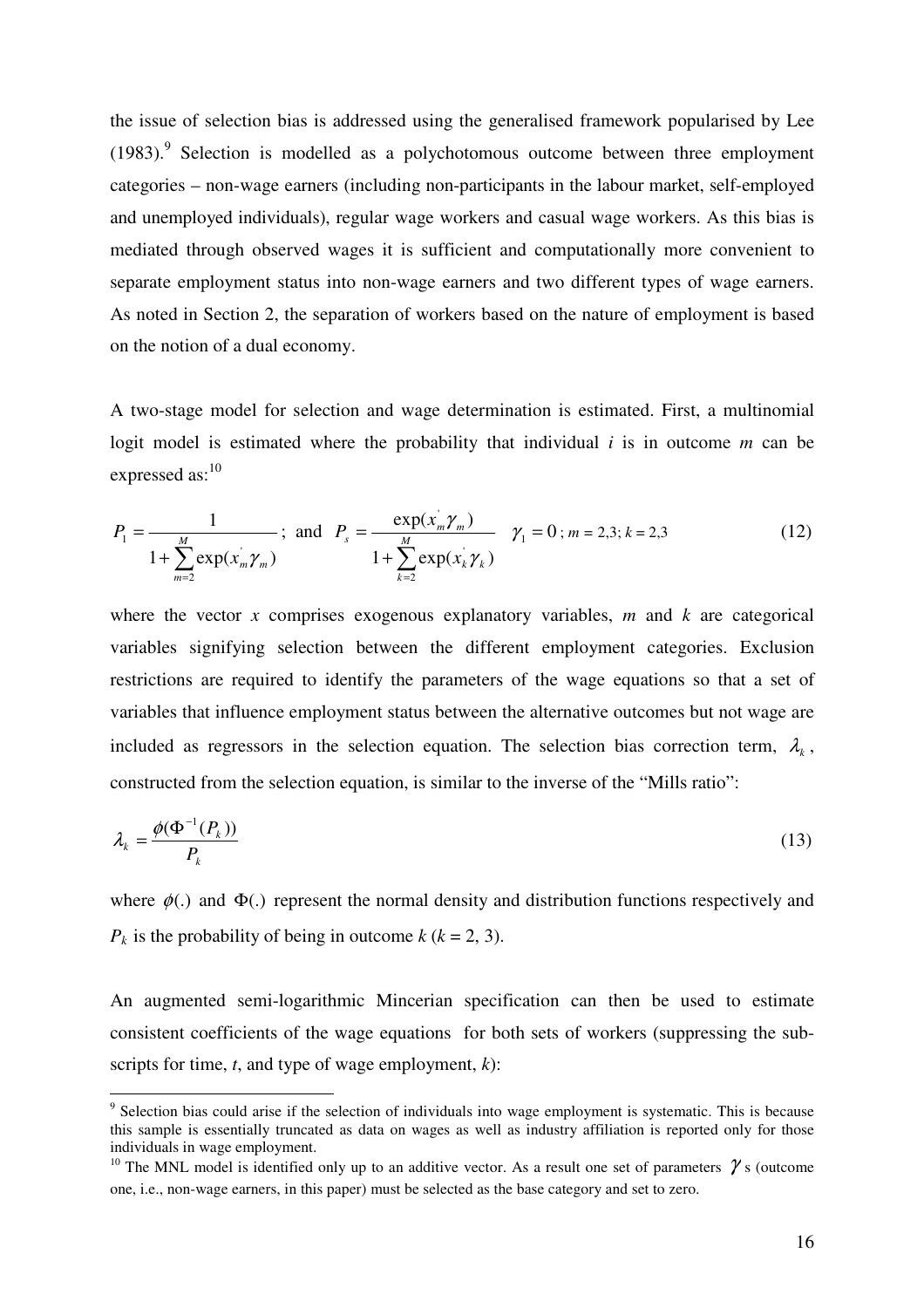the issue of selection bias is addressed using the generalised framework popularised by Lee (1983).<sup>9</sup> Selection is modelled as a polychotomous outcome between three employment categories – non-wage earners (including non-participants in the labour market, self-employed and unemployed individuals), regular wage workers and casual wage workers. As this bias is mediated through observed wages it is sufficient and computationally more convenient to separate employment status into non-wage earners and two different types of wage earners. As noted in Section 2, the separation of workers based on the nature of employment is based on the notion of a dual economy.

A two-stage model for selection and wage determination is estimated. First, a multinomial logit model is estimated where the probability that individual *i* is in outcome *m* can be expressed as:<sup>10</sup>

$$
P_1 = \frac{1}{1 + \sum_{m=2}^{M} \exp(x_m^{\dagger} \gamma_m)}; \text{ and } P_s = \frac{\exp(x_m^{\dagger} \gamma_m)}{1 + \sum_{k=2}^{M} \exp(x_k^{\dagger} \gamma_k)} \quad \gamma_1 = 0; m = 2, 3; k = 2, 3 \tag{12}
$$

where the vector *x* comprises exogenous explanatory variables, *m* and *k* are categorical variables signifying selection between the different employment categories. Exclusion restrictions are required to identify the parameters of the wage equations so that a set of variables that influence employment status between the alternative outcomes but not wage are included as regressors in the selection equation. The selection bias correction term,  $\lambda_k$ , constructed from the selection equation, is similar to the inverse of the "Mills ratio":

$$
\lambda_k = \frac{\phi(\Phi^{-1}(P_k))}{P_k} \tag{13}
$$

where  $\phi(.)$  and  $\Phi(.)$  represent the normal density and distribution functions respectively and  $P_k$  is the probability of being in outcome  $k (k = 2, 3)$ .

An augmented semi-logarithmic Mincerian specification can then be used to estimate consistent coefficients of the wage equations for both sets of workers (suppressing the subscripts for time, *t*, and type of wage employment, *k*):

<sup>&</sup>lt;sup>9</sup> Selection bias could arise if the selection of individuals into wage employment is systematic. This is because this sample is essentially truncated as data on wages as well as industry affiliation is reported only for those individuals in wage employment.

<sup>&</sup>lt;sup>10</sup> The MNL model is identified only up to an additive vector. As a result one set of parameters  $\gamma$  s (outcome one, i.e., non-wage earners, in this paper) must be selected as the base category and set to zero.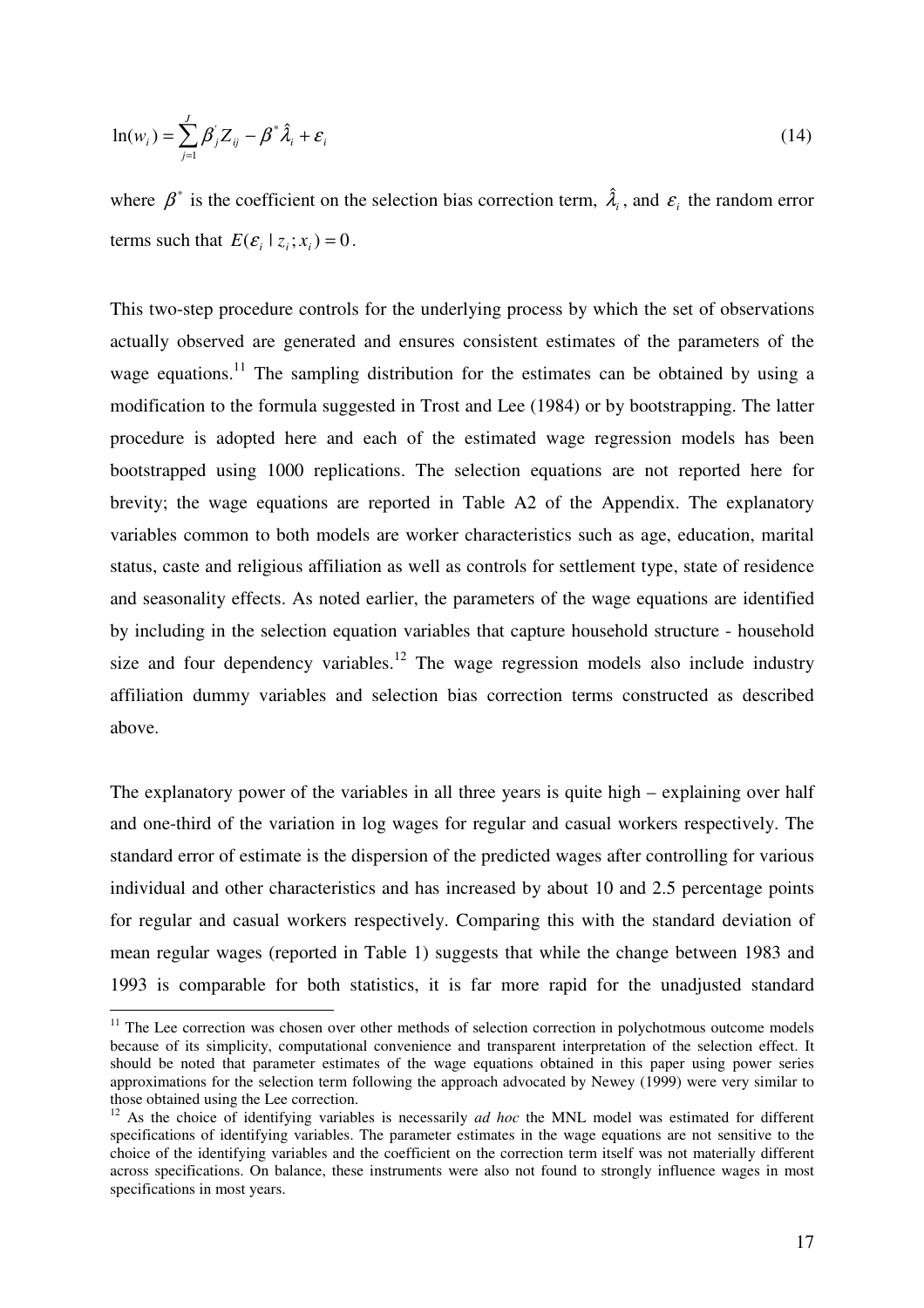$$
\ln(w_i) = \sum_{j=1}^{J} \beta_j Z_{ij} - \beta^* \hat{\lambda}_i + \varepsilon_i
$$
 (14)

where  $\beta^*$  is the coefficient on the selection bias correction term,  $\hat{\lambda}_i$ , and  $\epsilon_i$  the random error terms such that  $E(E_i | z_i; x_i) = 0$ .

This two-step procedure controls for the underlying process by which the set of observations actually observed are generated and ensures consistent estimates of the parameters of the wage equations.<sup>11</sup> The sampling distribution for the estimates can be obtained by using a modification to the formula suggested in Trost and Lee (1984) or by bootstrapping. The latter procedure is adopted here and each of the estimated wage regression models has been bootstrapped using 1000 replications. The selection equations are not reported here for brevity; the wage equations are reported in Table A2 of the Appendix. The explanatory variables common to both models are worker characteristics such as age, education, marital status, caste and religious affiliation as well as controls for settlement type, state of residence and seasonality effects. As noted earlier, the parameters of the wage equations are identified by including in the selection equation variables that capture household structure - household size and four dependency variables.<sup>12</sup> The wage regression models also include industry affiliation dummy variables and selection bias correction terms constructed as described above.

The explanatory power of the variables in all three years is quite high – explaining over half and one-third of the variation in log wages for regular and casual workers respectively. The standard error of estimate is the dispersion of the predicted wages after controlling for various individual and other characteristics and has increased by about 10 and 2.5 percentage points for regular and casual workers respectively. Comparing this with the standard deviation of mean regular wages (reported in Table 1) suggests that while the change between 1983 and 1993 is comparable for both statistics, it is far more rapid for the unadjusted standard

 $11$  The Lee correction was chosen over other methods of selection correction in polychotmous outcome models because of its simplicity, computational convenience and transparent interpretation of the selection effect. It should be noted that parameter estimates of the wage equations obtained in this paper using power series approximations for the selection term following the approach advocated by Newey (1999) were very similar to those obtained using the Lee correction.

<sup>&</sup>lt;sup>12</sup> As the choice of identifying variables is necessarily *ad hoc* the MNL model was estimated for different specifications of identifying variables. The parameter estimates in the wage equations are not sensitive to the choice of the identifying variables and the coefficient on the correction term itself was not materially different across specifications. On balance, these instruments were also not found to strongly influence wages in most specifications in most years.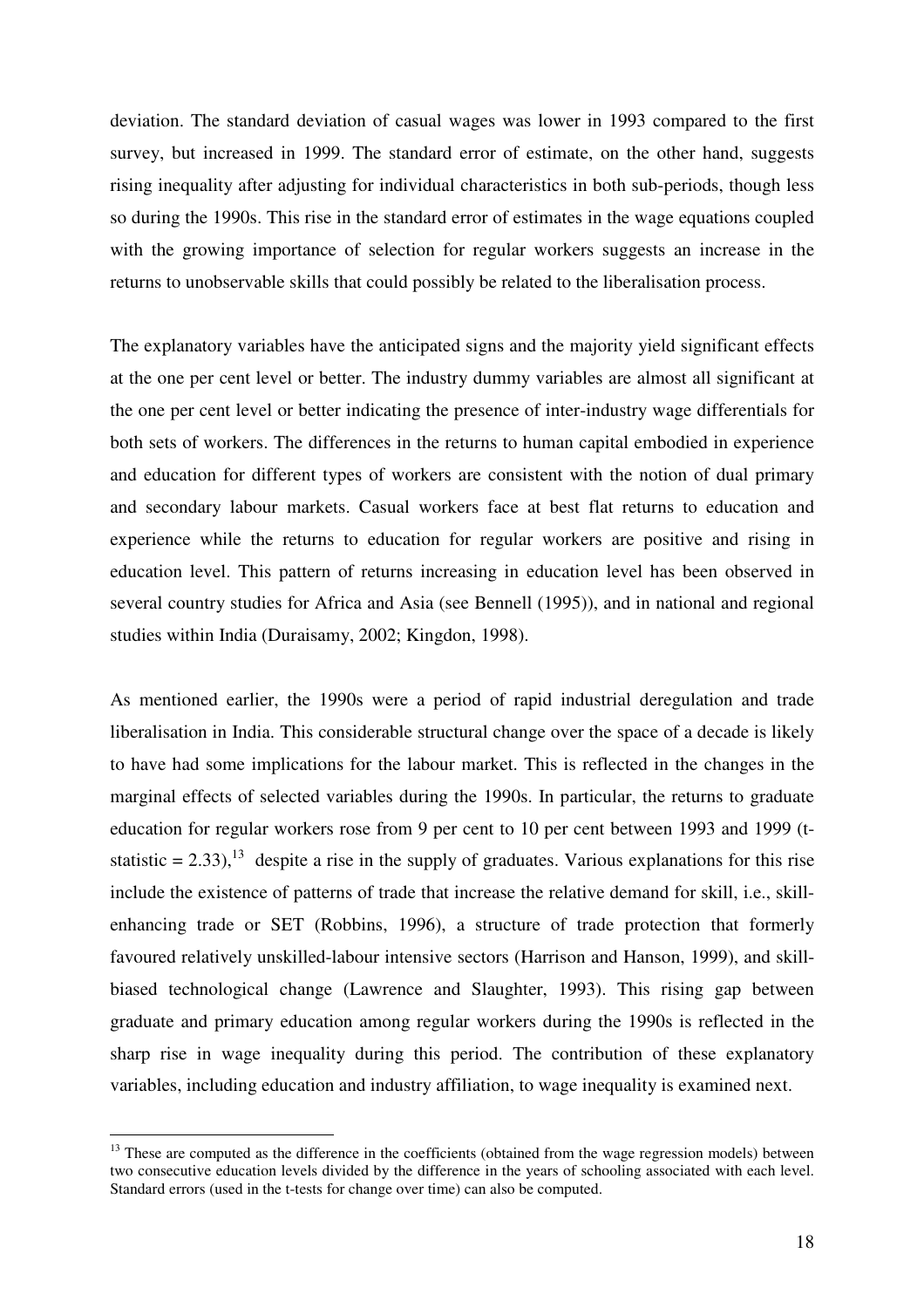deviation. The standard deviation of casual wages was lower in 1993 compared to the first survey, but increased in 1999. The standard error of estimate, on the other hand, suggests rising inequality after adjusting for individual characteristics in both sub-periods, though less so during the 1990s. This rise in the standard error of estimates in the wage equations coupled with the growing importance of selection for regular workers suggests an increase in the returns to unobservable skills that could possibly be related to the liberalisation process.

The explanatory variables have the anticipated signs and the majority yield significant effects at the one per cent level or better. The industry dummy variables are almost all significant at the one per cent level or better indicating the presence of inter-industry wage differentials for both sets of workers. The differences in the returns to human capital embodied in experience and education for different types of workers are consistent with the notion of dual primary and secondary labour markets. Casual workers face at best flat returns to education and experience while the returns to education for regular workers are positive and rising in education level. This pattern of returns increasing in education level has been observed in several country studies for Africa and Asia (see Bennell (1995)), and in national and regional studies within India (Duraisamy, 2002; Kingdon, 1998).

As mentioned earlier, the 1990s were a period of rapid industrial deregulation and trade liberalisation in India. This considerable structural change over the space of a decade is likely to have had some implications for the labour market. This is reflected in the changes in the marginal effects of selected variables during the 1990s. In particular, the returns to graduate education for regular workers rose from 9 per cent to 10 per cent between 1993 and 1999 (tstatistic = 2.33),<sup>13</sup> despite a rise in the supply of graduates. Various explanations for this rise include the existence of patterns of trade that increase the relative demand for skill, i.e., skillenhancing trade or SET (Robbins, 1996), a structure of trade protection that formerly favoured relatively unskilled-labour intensive sectors (Harrison and Hanson, 1999), and skillbiased technological change (Lawrence and Slaughter, 1993). This rising gap between graduate and primary education among regular workers during the 1990s is reflected in the sharp rise in wage inequality during this period. The contribution of these explanatory variables, including education and industry affiliation, to wage inequality is examined next.

<sup>&</sup>lt;sup>13</sup> These are computed as the difference in the coefficients (obtained from the wage regression models) between two consecutive education levels divided by the difference in the years of schooling associated with each level. Standard errors (used in the t-tests for change over time) can also be computed.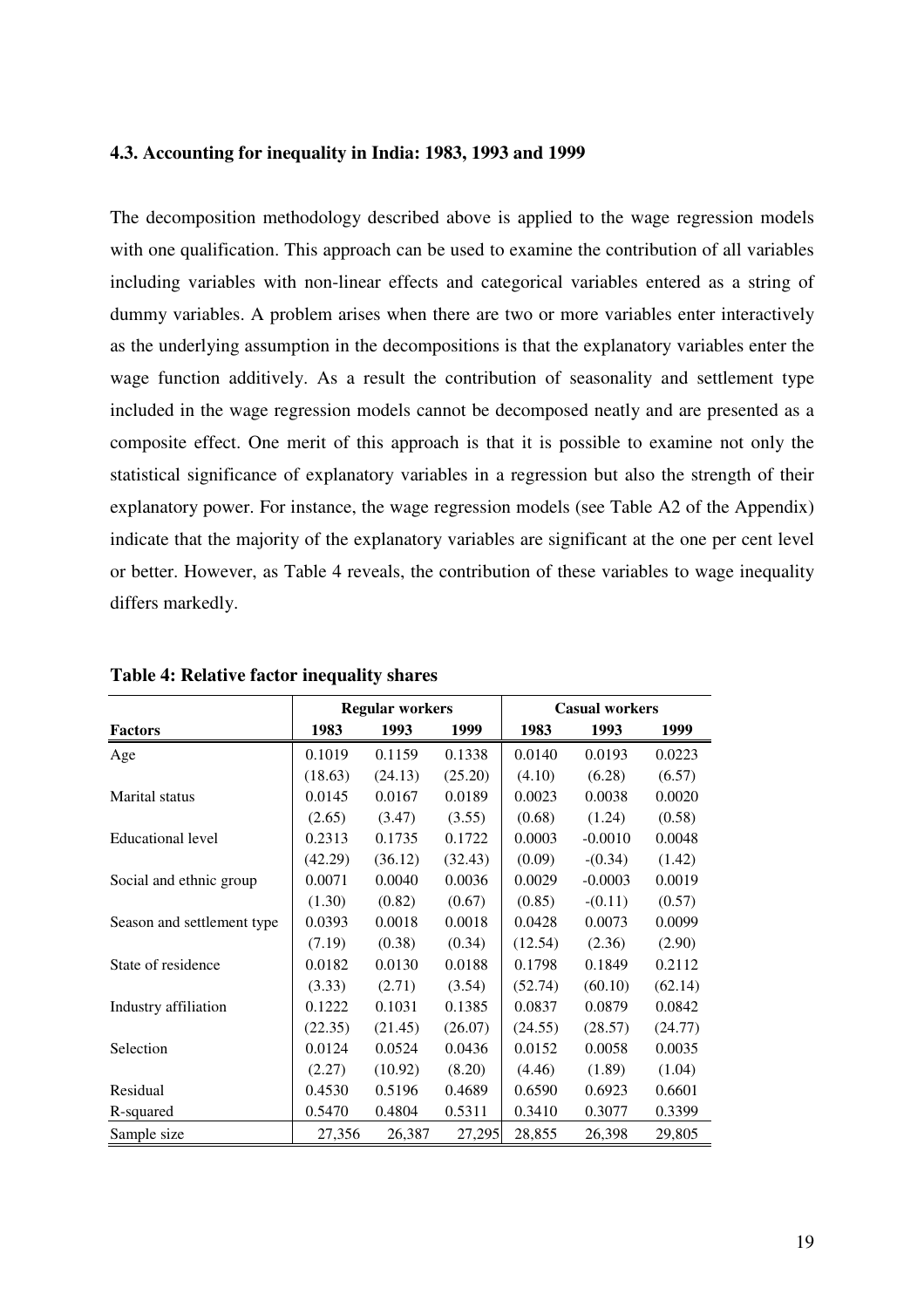## **4.3. Accounting for inequality in India: 1983, 1993 and 1999**

The decomposition methodology described above is applied to the wage regression models with one qualification. This approach can be used to examine the contribution of all variables including variables with non-linear effects and categorical variables entered as a string of dummy variables. A problem arises when there are two or more variables enter interactively as the underlying assumption in the decompositions is that the explanatory variables enter the wage function additively. As a result the contribution of seasonality and settlement type included in the wage regression models cannot be decomposed neatly and are presented as a composite effect. One merit of this approach is that it is possible to examine not only the statistical significance of explanatory variables in a regression but also the strength of their explanatory power. For instance, the wage regression models (see Table A2 of the Appendix) indicate that the majority of the explanatory variables are significant at the one per cent level or better. However, as Table 4 reveals, the contribution of these variables to wage inequality differs markedly.

|                            |         | <b>Regular workers</b> |         | <b>Casual workers</b> |           |         |
|----------------------------|---------|------------------------|---------|-----------------------|-----------|---------|
| <b>Factors</b>             | 1983    | 1993                   | 1999    | 1983                  | 1993      | 1999    |
| Age                        | 0.1019  | 0.1159                 | 0.1338  | 0.0140                | 0.0193    | 0.0223  |
|                            | (18.63) | (24.13)                | (25.20) | (4.10)                | (6.28)    | (6.57)  |
| Marital status             | 0.0145  | 0.0167                 | 0.0189  | 0.0023                | 0.0038    | 0.0020  |
|                            | (2.65)  | (3.47)                 | (3.55)  | (0.68)                | (1.24)    | (0.58)  |
| <b>Educational level</b>   | 0.2313  | 0.1735                 | 0.1722  | 0.0003                | $-0.0010$ | 0.0048  |
|                            | (42.29) | (36.12)                | (32.43) | (0.09)                | $-(0.34)$ | (1.42)  |
| Social and ethnic group    | 0.0071  | 0.0040                 | 0.0036  | 0.0029                | $-0.0003$ | 0.0019  |
|                            | (1.30)  | (0.82)                 | (0.67)  | (0.85)                | $-(0.11)$ | (0.57)  |
| Season and settlement type | 0.0393  | 0.0018                 | 0.0018  | 0.0428                | 0.0073    | 0.0099  |
|                            | (7.19)  | (0.38)                 | (0.34)  | (12.54)               | (2.36)    | (2.90)  |
| State of residence         | 0.0182  | 0.0130                 | 0.0188  | 0.1798                | 0.1849    | 0.2112  |
|                            | (3.33)  | (2.71)                 | (3.54)  | (52.74)               | (60.10)   | (62.14) |
| Industry affiliation       | 0.1222  | 0.1031                 | 0.1385  | 0.0837                | 0.0879    | 0.0842  |
|                            | (22.35) | (21.45)                | (26.07) | (24.55)               | (28.57)   | (24.77) |
| Selection                  | 0.0124  | 0.0524                 | 0.0436  | 0.0152                | 0.0058    | 0.0035  |
|                            | (2.27)  | (10.92)                | (8.20)  | (4.46)                | (1.89)    | (1.04)  |
| Residual                   | 0.4530  | 0.5196                 | 0.4689  | 0.6590                | 0.6923    | 0.6601  |
| R-squared                  | 0.5470  | 0.4804                 | 0.5311  | 0.3410                | 0.3077    | 0.3399  |
| Sample size                | 27,356  | 26,387                 | 27,295  | 28,855                | 26,398    | 29,805  |

**Table 4: Relative factor inequality shares**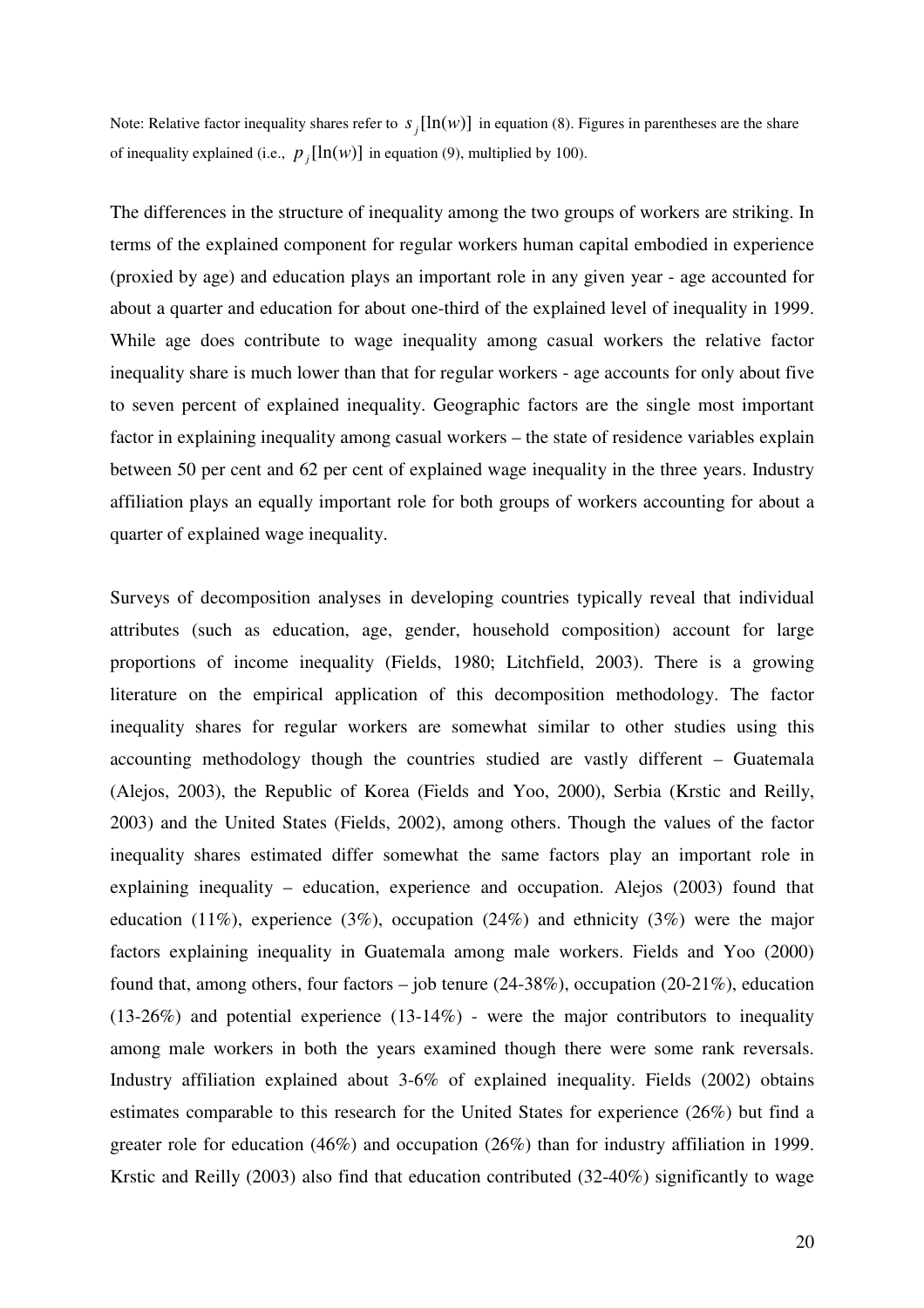Note: Relative factor inequality shares refer to  $s_j[ln(w)]$  in equation (8). Figures in parentheses are the share of inequality explained (i.e.,  $p_j[\ln(w)]$  in equation (9), multiplied by 100).

The differences in the structure of inequality among the two groups of workers are striking. In terms of the explained component for regular workers human capital embodied in experience (proxied by age) and education plays an important role in any given year - age accounted for about a quarter and education for about one-third of the explained level of inequality in 1999. While age does contribute to wage inequality among casual workers the relative factor inequality share is much lower than that for regular workers - age accounts for only about five to seven percent of explained inequality. Geographic factors are the single most important factor in explaining inequality among casual workers – the state of residence variables explain between 50 per cent and 62 per cent of explained wage inequality in the three years. Industry affiliation plays an equally important role for both groups of workers accounting for about a quarter of explained wage inequality.

Surveys of decomposition analyses in developing countries typically reveal that individual attributes (such as education, age, gender, household composition) account for large proportions of income inequality (Fields, 1980; Litchfield, 2003). There is a growing literature on the empirical application of this decomposition methodology. The factor inequality shares for regular workers are somewhat similar to other studies using this accounting methodology though the countries studied are vastly different – Guatemala (Alejos, 2003), the Republic of Korea (Fields and Yoo, 2000), Serbia (Krstic and Reilly, 2003) and the United States (Fields, 2002), among others. Though the values of the factor inequality shares estimated differ somewhat the same factors play an important role in explaining inequality – education, experience and occupation. Alejos (2003) found that education (11%), experience (3%), occupation (24%) and ethnicity (3%) were the major factors explaining inequality in Guatemala among male workers. Fields and Yoo (2000) found that, among others, four factors – job tenure (24-38%), occupation (20-21%), education  $(13-26%)$  and potential experience  $(13-14%)$  - were the major contributors to inequality among male workers in both the years examined though there were some rank reversals. Industry affiliation explained about 3-6% of explained inequality. Fields (2002) obtains estimates comparable to this research for the United States for experience (26%) but find a greater role for education (46%) and occupation (26%) than for industry affiliation in 1999. Krstic and Reilly (2003) also find that education contributed (32-40%) significantly to wage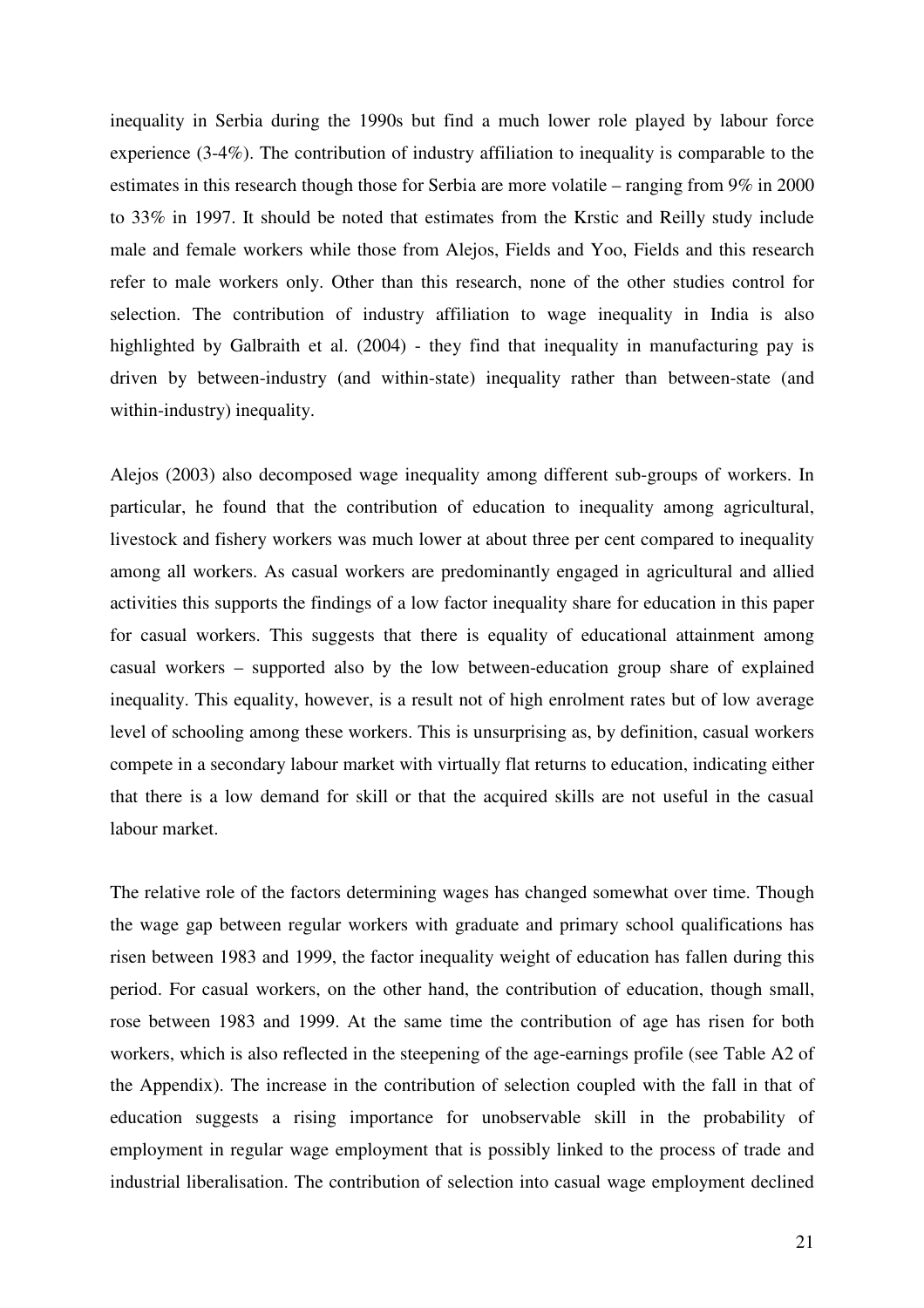inequality in Serbia during the 1990s but find a much lower role played by labour force experience (3-4%). The contribution of industry affiliation to inequality is comparable to the estimates in this research though those for Serbia are more volatile – ranging from 9% in 2000 to 33% in 1997. It should be noted that estimates from the Krstic and Reilly study include male and female workers while those from Alejos, Fields and Yoo, Fields and this research refer to male workers only. Other than this research, none of the other studies control for selection. The contribution of industry affiliation to wage inequality in India is also highlighted by Galbraith et al. (2004) - they find that inequality in manufacturing pay is driven by between-industry (and within-state) inequality rather than between-state (and within-industry) inequality.

Alejos (2003) also decomposed wage inequality among different sub-groups of workers. In particular, he found that the contribution of education to inequality among agricultural, livestock and fishery workers was much lower at about three per cent compared to inequality among all workers. As casual workers are predominantly engaged in agricultural and allied activities this supports the findings of a low factor inequality share for education in this paper for casual workers. This suggests that there is equality of educational attainment among casual workers – supported also by the low between-education group share of explained inequality. This equality, however, is a result not of high enrolment rates but of low average level of schooling among these workers. This is unsurprising as, by definition, casual workers compete in a secondary labour market with virtually flat returns to education, indicating either that there is a low demand for skill or that the acquired skills are not useful in the casual labour market.

The relative role of the factors determining wages has changed somewhat over time. Though the wage gap between regular workers with graduate and primary school qualifications has risen between 1983 and 1999, the factor inequality weight of education has fallen during this period. For casual workers, on the other hand, the contribution of education, though small, rose between 1983 and 1999. At the same time the contribution of age has risen for both workers, which is also reflected in the steepening of the age-earnings profile (see Table A2 of the Appendix). The increase in the contribution of selection coupled with the fall in that of education suggests a rising importance for unobservable skill in the probability of employment in regular wage employment that is possibly linked to the process of trade and industrial liberalisation. The contribution of selection into casual wage employment declined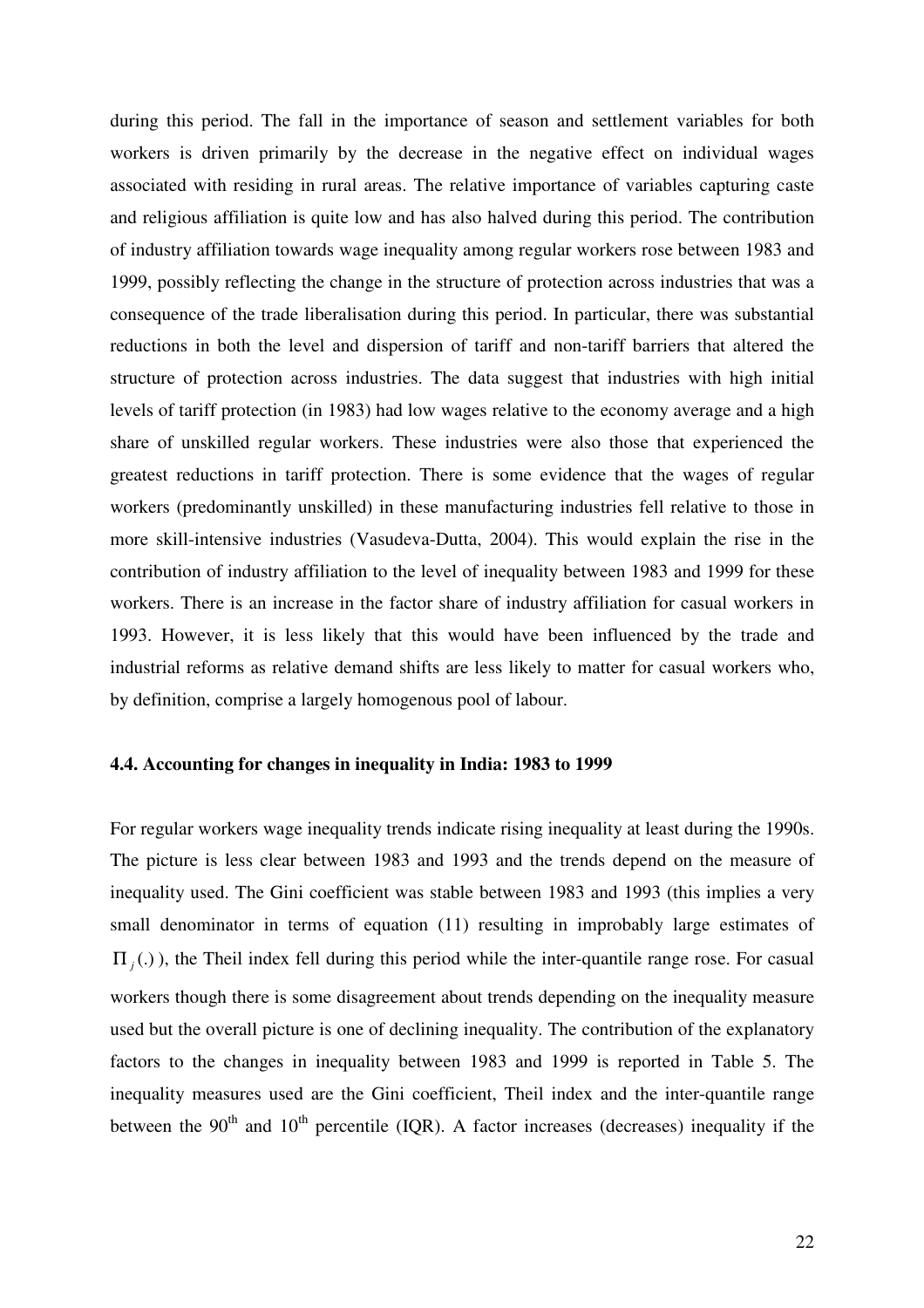during this period. The fall in the importance of season and settlement variables for both workers is driven primarily by the decrease in the negative effect on individual wages associated with residing in rural areas. The relative importance of variables capturing caste and religious affiliation is quite low and has also halved during this period. The contribution of industry affiliation towards wage inequality among regular workers rose between 1983 and 1999, possibly reflecting the change in the structure of protection across industries that was a consequence of the trade liberalisation during this period. In particular, there was substantial reductions in both the level and dispersion of tariff and non-tariff barriers that altered the structure of protection across industries. The data suggest that industries with high initial levels of tariff protection (in 1983) had low wages relative to the economy average and a high share of unskilled regular workers. These industries were also those that experienced the greatest reductions in tariff protection. There is some evidence that the wages of regular workers (predominantly unskilled) in these manufacturing industries fell relative to those in more skill-intensive industries (Vasudeva-Dutta, 2004). This would explain the rise in the contribution of industry affiliation to the level of inequality between 1983 and 1999 for these workers. There is an increase in the factor share of industry affiliation for casual workers in 1993. However, it is less likely that this would have been influenced by the trade and industrial reforms as relative demand shifts are less likely to matter for casual workers who, by definition, comprise a largely homogenous pool of labour.

## **4.4. Accounting for changes in inequality in India: 1983 to 1999**

For regular workers wage inequality trends indicate rising inequality at least during the 1990s. The picture is less clear between 1983 and 1993 and the trends depend on the measure of inequality used. The Gini coefficient was stable between 1983 and 1993 (this implies a very small denominator in terms of equation (11) resulting in improbably large estimates of  $\Pi_j(.)$ ), the Theil index fell during this period while the inter-quantile range rose. For casual workers though there is some disagreement about trends depending on the inequality measure used but the overall picture is one of declining inequality. The contribution of the explanatory factors to the changes in inequality between 1983 and 1999 is reported in Table 5. The inequality measures used are the Gini coefficient, Theil index and the inter-quantile range between the  $90<sup>th</sup>$  and  $10<sup>th</sup>$  percentile (IQR). A factor increases (decreases) inequality if the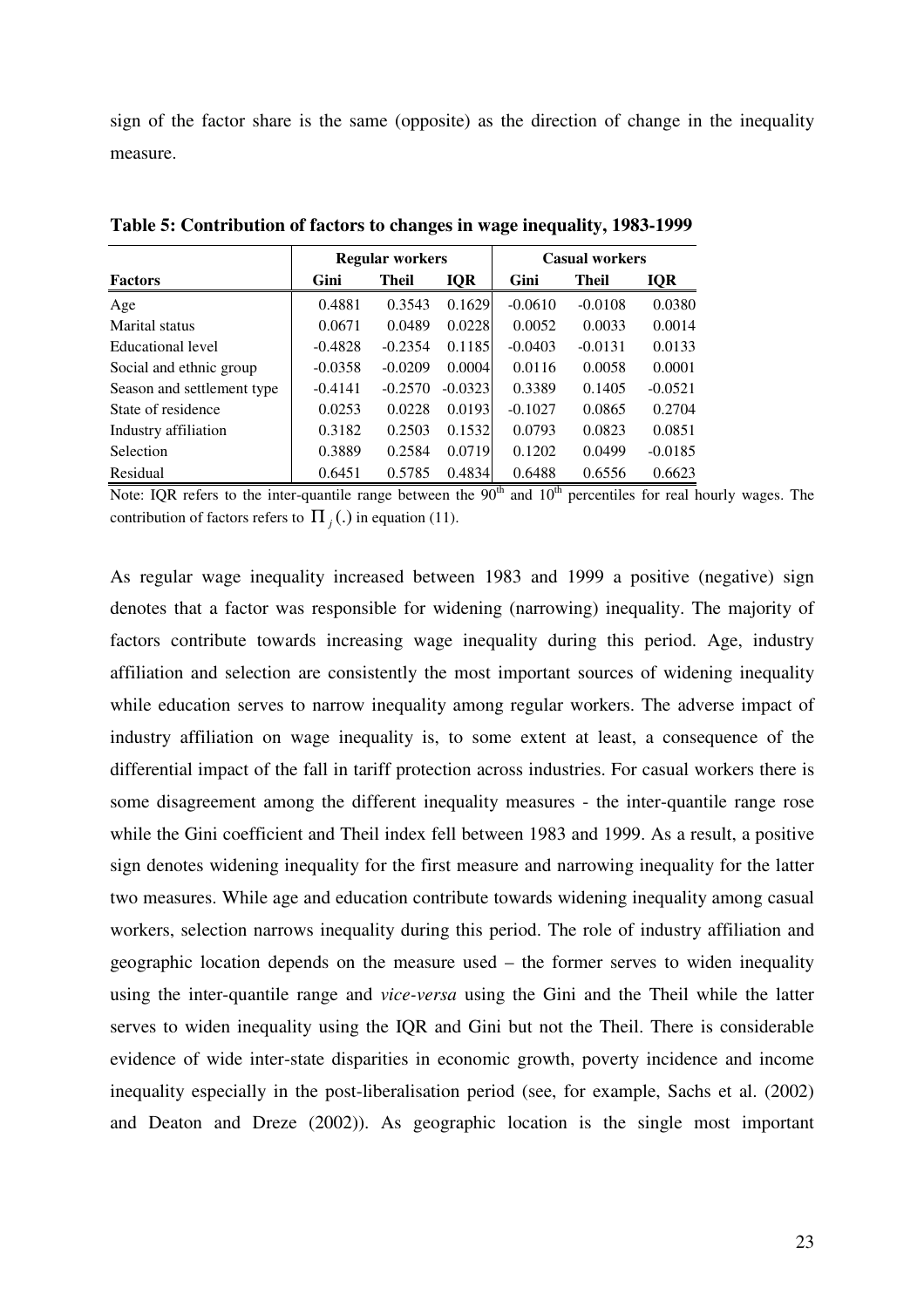sign of the factor share is the same (opposite) as the direction of change in the inequality measure.

|                            |           | <b>Regular workers</b> |            | <b>Casual workers</b> |              |            |  |
|----------------------------|-----------|------------------------|------------|-----------------------|--------------|------------|--|
| <b>Factors</b>             | Gini      | Theil                  | <b>IQR</b> | Gini                  | <b>Theil</b> | <b>IQR</b> |  |
| Age                        | 0.4881    | 0.3543                 | 0.1629     | $-0.0610$             | $-0.0108$    | 0.0380     |  |
| Marital status             | 0.0671    | 0.0489                 | 0.0228     | 0.0052                | 0.0033       | 0.0014     |  |
| Educational level          | $-0.4828$ | $-0.2354$              | 0.1185     | $-0.0403$             | $-0.0131$    | 0.0133     |  |
| Social and ethnic group    | $-0.0358$ | $-0.0209$              | 0.0004     | 0.0116                | 0.0058       | 0.0001     |  |
| Season and settlement type | $-0.4141$ | $-0.2570$              | $-0.0323$  | 0.3389                | 0.1405       | $-0.0521$  |  |
| State of residence         | 0.0253    | 0.0228                 | 0.0193     | $-0.1027$             | 0.0865       | 0.2704     |  |
| Industry affiliation       | 0.3182    | 0.2503                 | 0.1532     | 0.0793                | 0.0823       | 0.0851     |  |
| Selection                  | 0.3889    | 0.2584                 | 0.0719     | 0.1202                | 0.0499       | $-0.0185$  |  |
| Residual                   | 0.6451    | 0.5785                 | 0.4834     | 0.6488                | 0.6556       | 0.6623     |  |

**Table 5: Contribution of factors to changes in wage inequality, 1983-1999**

Note: IQR refers to the inter-quantile range between the  $90<sup>th</sup>$  and  $10<sup>th</sup>$  percentiles for real hourly wages. The contribution of factors refers to  $\Pi_j(.)$  in equation (11).

As regular wage inequality increased between 1983 and 1999 a positive (negative) sign denotes that a factor was responsible for widening (narrowing) inequality. The majority of factors contribute towards increasing wage inequality during this period. Age, industry affiliation and selection are consistently the most important sources of widening inequality while education serves to narrow inequality among regular workers. The adverse impact of industry affiliation on wage inequality is, to some extent at least, a consequence of the differential impact of the fall in tariff protection across industries. For casual workers there is some disagreement among the different inequality measures - the inter-quantile range rose while the Gini coefficient and Theil index fell between 1983 and 1999. As a result, a positive sign denotes widening inequality for the first measure and narrowing inequality for the latter two measures. While age and education contribute towards widening inequality among casual workers, selection narrows inequality during this period. The role of industry affiliation and geographic location depends on the measure used – the former serves to widen inequality using the inter-quantile range and *vice-versa* using the Gini and the Theil while the latter serves to widen inequality using the IQR and Gini but not the Theil. There is considerable evidence of wide inter-state disparities in economic growth, poverty incidence and income inequality especially in the post-liberalisation period (see, for example, Sachs et al. (2002) and Deaton and Dreze (2002)). As geographic location is the single most important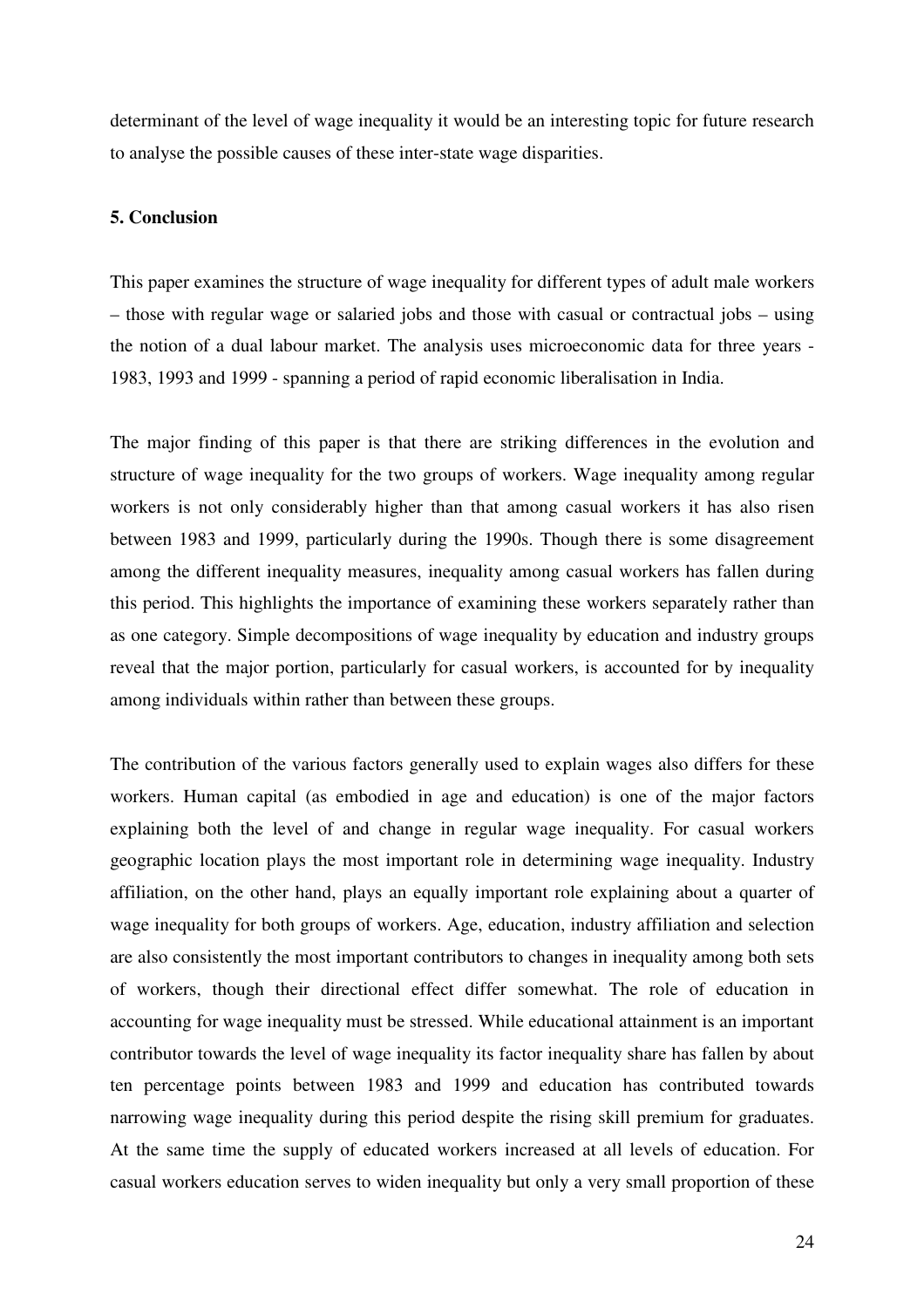determinant of the level of wage inequality it would be an interesting topic for future research to analyse the possible causes of these inter-state wage disparities.

#### **5. Conclusion**

This paper examines the structure of wage inequality for different types of adult male workers – those with regular wage or salaried jobs and those with casual or contractual jobs – using the notion of a dual labour market. The analysis uses microeconomic data for three years - 1983, 1993 and 1999 - spanning a period of rapid economic liberalisation in India.

The major finding of this paper is that there are striking differences in the evolution and structure of wage inequality for the two groups of workers. Wage inequality among regular workers is not only considerably higher than that among casual workers it has also risen between 1983 and 1999, particularly during the 1990s. Though there is some disagreement among the different inequality measures, inequality among casual workers has fallen during this period. This highlights the importance of examining these workers separately rather than as one category. Simple decompositions of wage inequality by education and industry groups reveal that the major portion, particularly for casual workers, is accounted for by inequality among individuals within rather than between these groups.

The contribution of the various factors generally used to explain wages also differs for these workers. Human capital (as embodied in age and education) is one of the major factors explaining both the level of and change in regular wage inequality. For casual workers geographic location plays the most important role in determining wage inequality. Industry affiliation, on the other hand, plays an equally important role explaining about a quarter of wage inequality for both groups of workers. Age, education, industry affiliation and selection are also consistently the most important contributors to changes in inequality among both sets of workers, though their directional effect differ somewhat. The role of education in accounting for wage inequality must be stressed. While educational attainment is an important contributor towards the level of wage inequality its factor inequality share has fallen by about ten percentage points between 1983 and 1999 and education has contributed towards narrowing wage inequality during this period despite the rising skill premium for graduates. At the same time the supply of educated workers increased at all levels of education. For casual workers education serves to widen inequality but only a very small proportion of these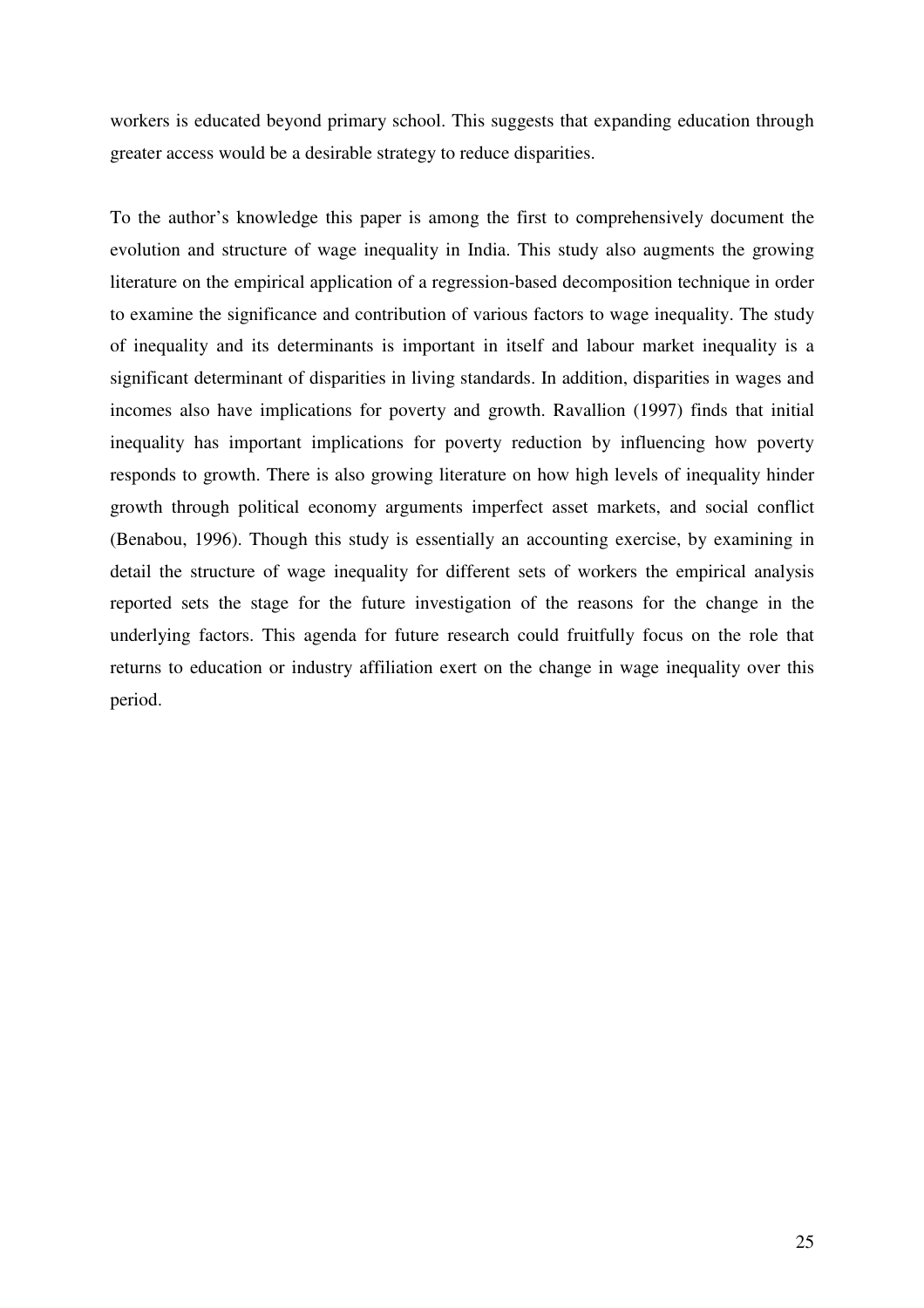workers is educated beyond primary school. This suggests that expanding education through greater access would be a desirable strategy to reduce disparities.

To the author's knowledge this paper is among the first to comprehensively document the evolution and structure of wage inequality in India. This study also augments the growing literature on the empirical application of a regression-based decomposition technique in order to examine the significance and contribution of various factors to wage inequality. The study of inequality and its determinants is important in itself and labour market inequality is a significant determinant of disparities in living standards. In addition, disparities in wages and incomes also have implications for poverty and growth. Ravallion (1997) finds that initial inequality has important implications for poverty reduction by influencing how poverty responds to growth. There is also growing literature on how high levels of inequality hinder growth through political economy arguments imperfect asset markets, and social conflict (Benabou, 1996). Though this study is essentially an accounting exercise, by examining in detail the structure of wage inequality for different sets of workers the empirical analysis reported sets the stage for the future investigation of the reasons for the change in the underlying factors. This agenda for future research could fruitfully focus on the role that returns to education or industry affiliation exert on the change in wage inequality over this period.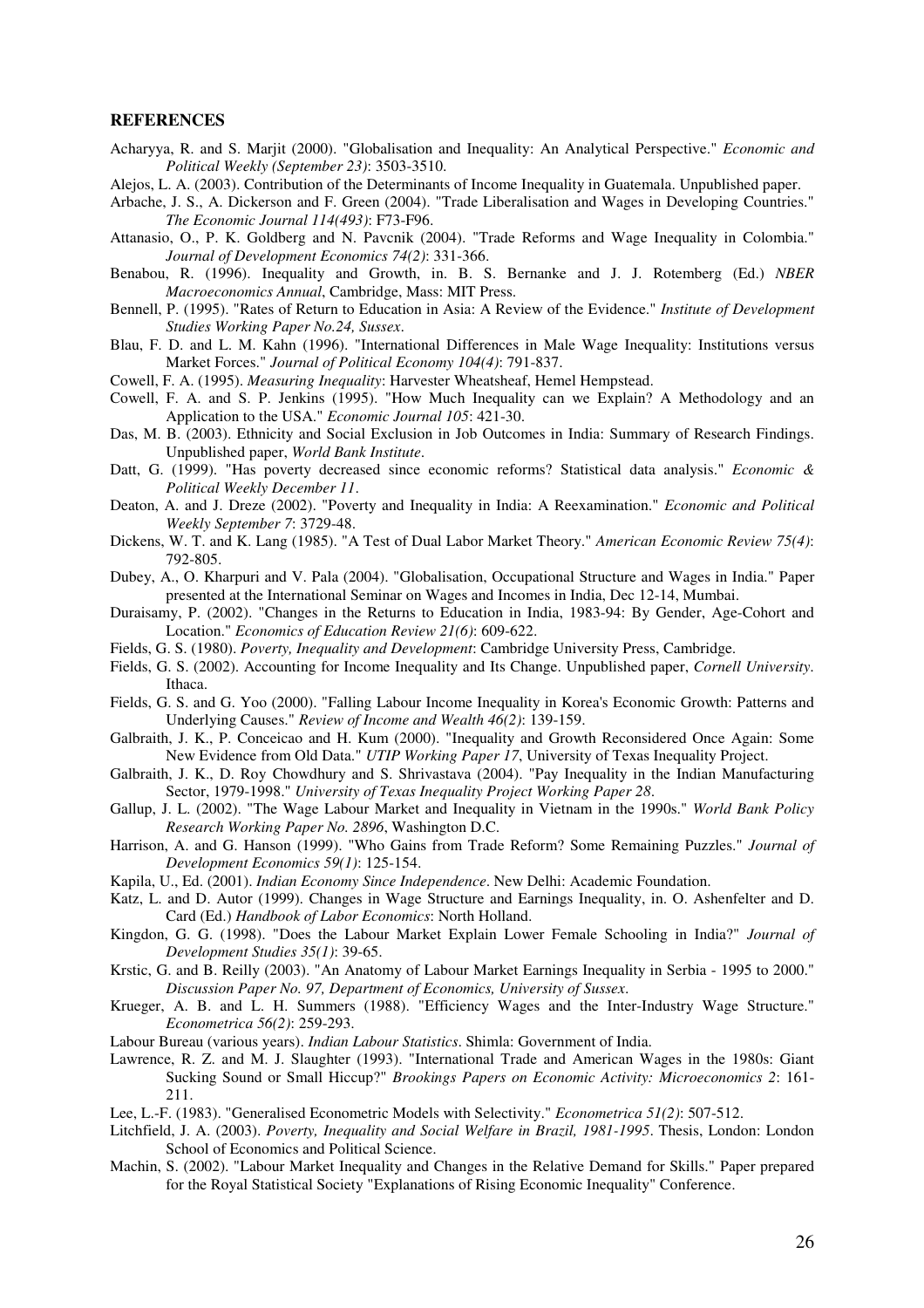#### **REFERENCES**

- Acharyya, R. and S. Marjit (2000). "Globalisation and Inequality: An Analytical Perspective." *Economic and Political Weekly (September 23)*: 3503-3510.
- Alejos, L. A. (2003). Contribution of the Determinants of Income Inequality in Guatemala. Unpublished paper.
- Arbache, J. S., A. Dickerson and F. Green (2004). "Trade Liberalisation and Wages in Developing Countries." *The Economic Journal 114(493)*: F73-F96.
- Attanasio, O., P. K. Goldberg and N. Pavcnik (2004). "Trade Reforms and Wage Inequality in Colombia." *Journal of Development Economics 74(2)*: 331-366.
- Benabou, R. (1996). Inequality and Growth, in. B. S. Bernanke and J. J. Rotemberg (Ed.) *NBER Macroeconomics Annual*, Cambridge, Mass: MIT Press.
- Bennell, P. (1995). "Rates of Return to Education in Asia: A Review of the Evidence." *Institute of Development Studies Working Paper No.24, Sussex*.
- Blau, F. D. and L. M. Kahn (1996). "International Differences in Male Wage Inequality: Institutions versus Market Forces." *Journal of Political Economy 104(4)*: 791-837.
- Cowell, F. A. (1995). *Measuring Inequality*: Harvester Wheatsheaf, Hemel Hempstead.
- Cowell, F. A. and S. P. Jenkins (1995). "How Much Inequality can we Explain? A Methodology and an Application to the USA." *Economic Journal 105*: 421-30.
- Das, M. B. (2003). Ethnicity and Social Exclusion in Job Outcomes in India: Summary of Research Findings. Unpublished paper, *World Bank Institute*.
- Datt, G. (1999). "Has poverty decreased since economic reforms? Statistical data analysis." *Economic & Political Weekly December 11*.
- Deaton, A. and J. Dreze (2002). "Poverty and Inequality in India: A Reexamination." *Economic and Political Weekly September 7*: 3729-48.
- Dickens, W. T. and K. Lang (1985). "A Test of Dual Labor Market Theory." *American Economic Review 75(4)*: 792-805.
- Dubey, A., O. Kharpuri and V. Pala (2004). "Globalisation, Occupational Structure and Wages in India." Paper presented at the International Seminar on Wages and Incomes in India, Dec 12-14, Mumbai.
- Duraisamy, P. (2002). "Changes in the Returns to Education in India, 1983-94: By Gender, Age-Cohort and Location." *Economics of Education Review 21(6)*: 609-622.
- Fields, G. S. (1980). *Poverty, Inequality and Development*: Cambridge University Press, Cambridge.
- Fields, G. S. (2002). Accounting for Income Inequality and Its Change. Unpublished paper, *Cornell University*. Ithaca.
- Fields, G. S. and G. Yoo (2000). "Falling Labour Income Inequality in Korea's Economic Growth: Patterns and Underlying Causes." *Review of Income and Wealth 46(2)*: 139-159.
- Galbraith, J. K., P. Conceicao and H. Kum (2000). "Inequality and Growth Reconsidered Once Again: Some New Evidence from Old Data." *UTIP Working Paper 17*, University of Texas Inequality Project.
- Galbraith, J. K., D. Roy Chowdhury and S. Shrivastava (2004). "Pay Inequality in the Indian Manufacturing Sector, 1979-1998." *University of Texas Inequality Project Working Paper 28*.
- Gallup, J. L. (2002). "The Wage Labour Market and Inequality in Vietnam in the 1990s." *World Bank Policy Research Working Paper No. 2896*, Washington D.C.
- Harrison, A. and G. Hanson (1999). "Who Gains from Trade Reform? Some Remaining Puzzles." *Journal of Development Economics 59(1)*: 125-154.
- Kapila, U., Ed. (2001). *Indian Economy Since Independence*. New Delhi: Academic Foundation.
- Katz, L. and D. Autor (1999). Changes in Wage Structure and Earnings Inequality, in. O. Ashenfelter and D. Card (Ed.) *Handbook of Labor Economics*: North Holland.
- Kingdon, G. G. (1998). "Does the Labour Market Explain Lower Female Schooling in India?" *Journal of Development Studies 35(1)*: 39-65.
- Krstic, G. and B. Reilly (2003). "An Anatomy of Labour Market Earnings Inequality in Serbia 1995 to 2000." *Discussion Paper No. 97, Department of Economics, University of Sussex*.
- Krueger, A. B. and L. H. Summers (1988). "Efficiency Wages and the Inter-Industry Wage Structure." *Econometrica 56(2)*: 259-293.
- Labour Bureau (various years). *Indian Labour Statistics*. Shimla: Government of India.
- Lawrence, R. Z. and M. J. Slaughter (1993). "International Trade and American Wages in the 1980s: Giant Sucking Sound or Small Hiccup?" *Brookings Papers on Economic Activity: Microeconomics 2*: 161- 211.
- Lee, L.-F. (1983). "Generalised Econometric Models with Selectivity." *Econometrica 51(2)*: 507-512.
- Litchfield, J. A. (2003). *Poverty, Inequality and Social Welfare in Brazil, 1981-1995*. Thesis, London: London School of Economics and Political Science.
- Machin, S. (2002). "Labour Market Inequality and Changes in the Relative Demand for Skills." Paper prepared for the Royal Statistical Society "Explanations of Rising Economic Inequality" Conference.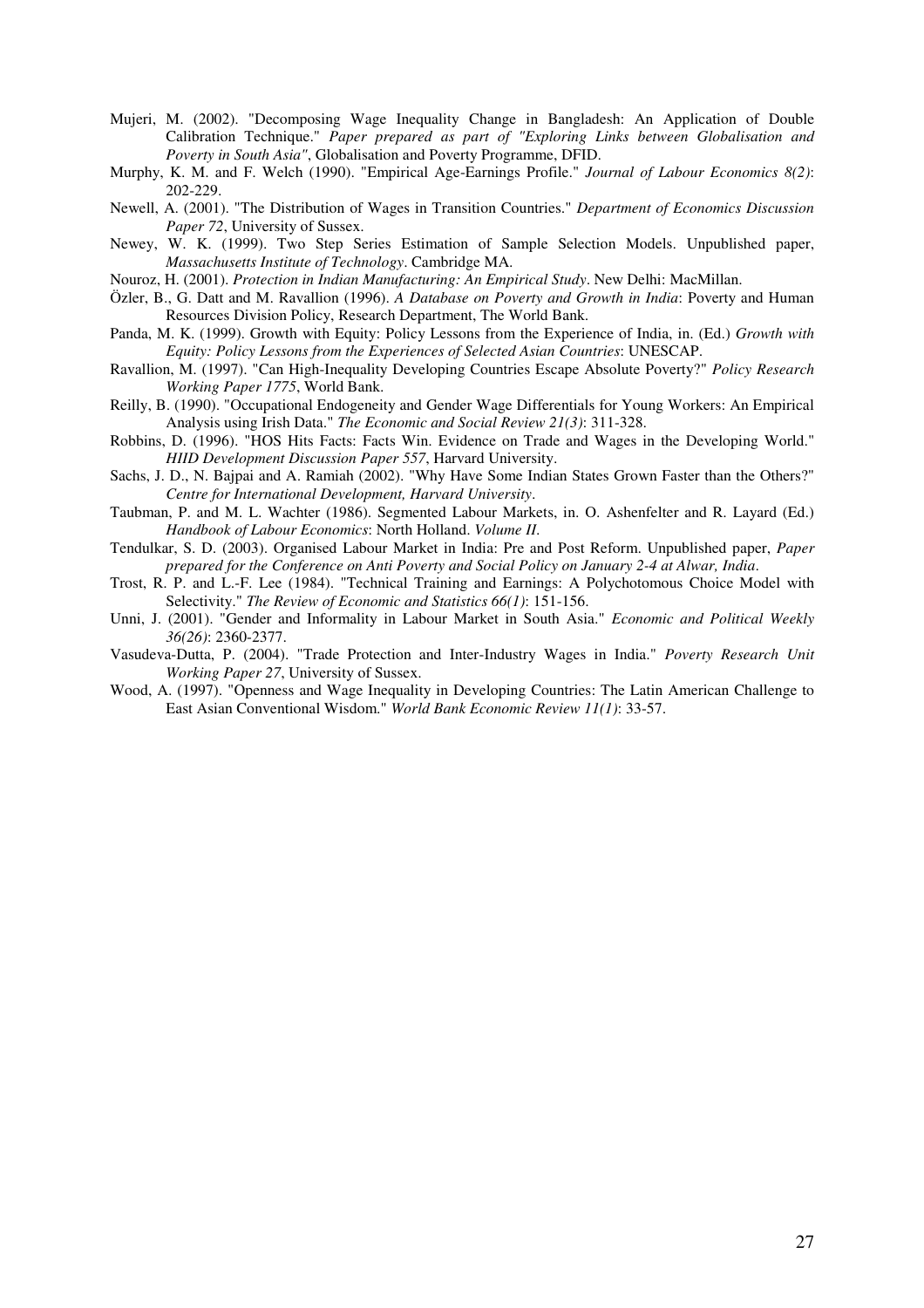- Mujeri, M. (2002). "Decomposing Wage Inequality Change in Bangladesh: An Application of Double Calibration Technique." *Paper prepared as part of "Exploring Links between Globalisation and Poverty in South Asia"*, Globalisation and Poverty Programme, DFID.
- Murphy, K. M. and F. Welch (1990). "Empirical Age-Earnings Profile." *Journal of Labour Economics 8(2)*: 202-229.
- Newell, A. (2001). "The Distribution of Wages in Transition Countries." *Department of Economics Discussion Paper 72*, University of Sussex.
- Newey, W. K. (1999). Two Step Series Estimation of Sample Selection Models. Unpublished paper, *Massachusetts Institute of Technology*. Cambridge MA.
- Nouroz, H. (2001). *Protection in Indian Manufacturing: An Empirical Study*. New Delhi: MacMillan.
- Özler, B., G. Datt and M. Ravallion (1996). *A Database on Poverty and Growth in India*: Poverty and Human Resources Division Policy, Research Department, The World Bank.
- Panda, M. K. (1999). Growth with Equity: Policy Lessons from the Experience of India, in. (Ed.) *Growth with Equity: Policy Lessons from the Experiences of Selected Asian Countries*: UNESCAP.
- Ravallion, M. (1997). "Can High-Inequality Developing Countries Escape Absolute Poverty?" *Policy Research Working Paper 1775*, World Bank.
- Reilly, B. (1990). "Occupational Endogeneity and Gender Wage Differentials for Young Workers: An Empirical Analysis using Irish Data." *The Economic and Social Review 21(3)*: 311-328.
- Robbins, D. (1996). "HOS Hits Facts: Facts Win. Evidence on Trade and Wages in the Developing World." *HIID Development Discussion Paper 557*, Harvard University.
- Sachs, J. D., N. Bajpai and A. Ramiah (2002). "Why Have Some Indian States Grown Faster than the Others?" *Centre for International Development, Harvard University*.
- Taubman, P. and M. L. Wachter (1986). Segmented Labour Markets, in. O. Ashenfelter and R. Layard (Ed.) *Handbook of Labour Economics*: North Holland. *Volume II*.
- Tendulkar, S. D. (2003). Organised Labour Market in India: Pre and Post Reform. Unpublished paper, *Paper prepared for the Conference on Anti Poverty and Social Policy on January 2-4 at Alwar, India*.
- Trost, R. P. and L.-F. Lee (1984). "Technical Training and Earnings: A Polychotomous Choice Model with Selectivity." *The Review of Economic and Statistics 66(1)*: 151-156.
- Unni, J. (2001). "Gender and Informality in Labour Market in South Asia." *Economic and Political Weekly 36(26)*: 2360-2377.
- Vasudeva-Dutta, P. (2004). "Trade Protection and Inter-Industry Wages in India." *Poverty Research Unit Working Paper 27*, University of Sussex.
- Wood, A. (1997). "Openness and Wage Inequality in Developing Countries: The Latin American Challenge to East Asian Conventional Wisdom." *World Bank Economic Review 11(1)*: 33-57.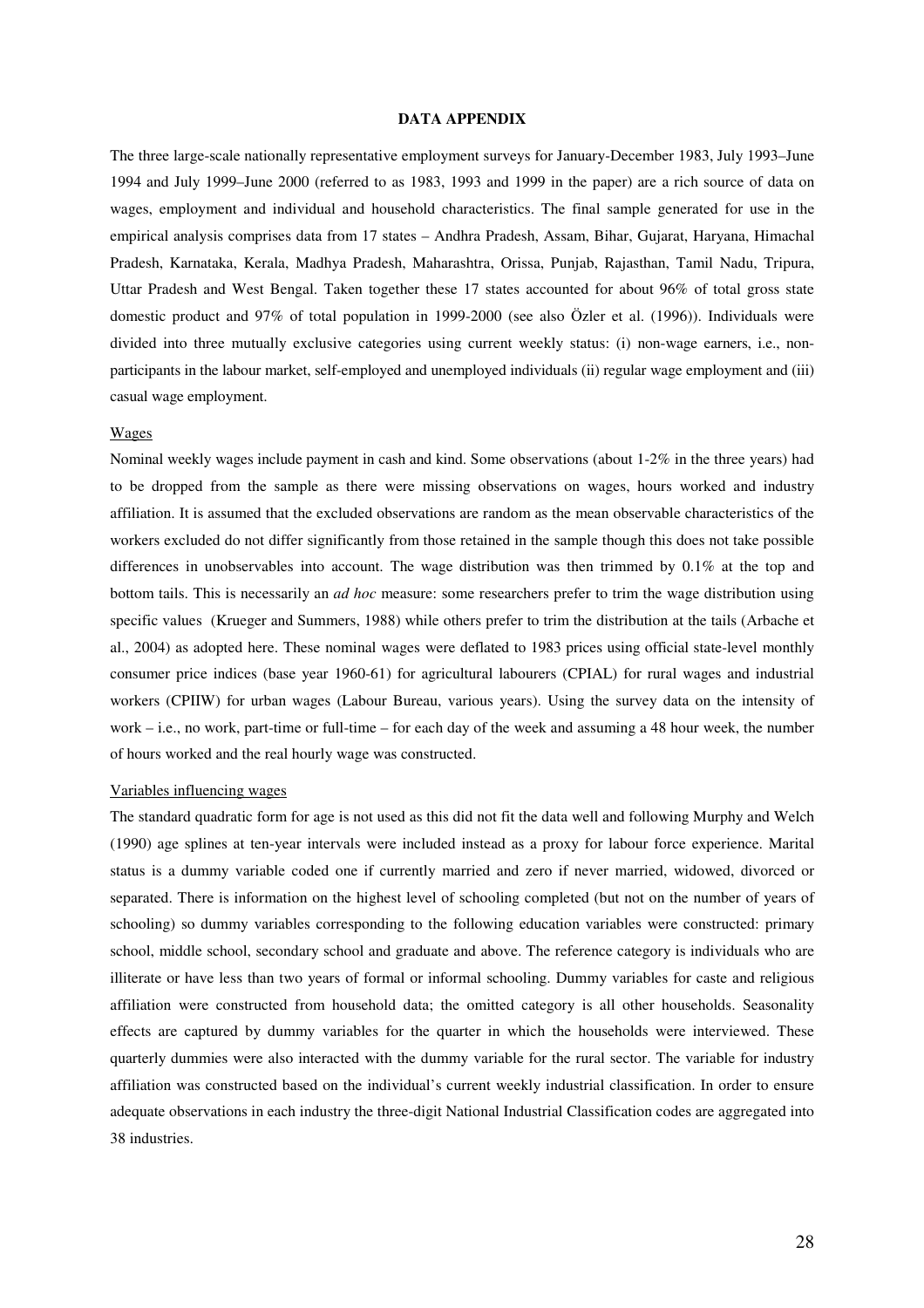#### **DATA APPENDIX**

The three large-scale nationally representative employment surveys for January-December 1983, July 1993–June 1994 and July 1999–June 2000 (referred to as 1983, 1993 and 1999 in the paper) are a rich source of data on wages, employment and individual and household characteristics. The final sample generated for use in the empirical analysis comprises data from 17 states – Andhra Pradesh, Assam, Bihar, Gujarat, Haryana, Himachal Pradesh, Karnataka, Kerala, Madhya Pradesh, Maharashtra, Orissa, Punjab, Rajasthan, Tamil Nadu, Tripura, Uttar Pradesh and West Bengal. Taken together these 17 states accounted for about 96% of total gross state domestic product and 97% of total population in 1999-2000 (see also Özler et al. (1996)). Individuals were divided into three mutually exclusive categories using current weekly status: (i) non-wage earners, i.e., nonparticipants in the labour market, self-employed and unemployed individuals (ii) regular wage employment and (iii) casual wage employment.

#### Wages

Nominal weekly wages include payment in cash and kind. Some observations (about 1-2% in the three years) had to be dropped from the sample as there were missing observations on wages, hours worked and industry affiliation. It is assumed that the excluded observations are random as the mean observable characteristics of the workers excluded do not differ significantly from those retained in the sample though this does not take possible differences in unobservables into account. The wage distribution was then trimmed by 0.1% at the top and bottom tails. This is necessarily an *ad hoc* measure: some researchers prefer to trim the wage distribution using specific values (Krueger and Summers, 1988) while others prefer to trim the distribution at the tails (Arbache et al., 2004) as adopted here. These nominal wages were deflated to 1983 prices using official state-level monthly consumer price indices (base year 1960-61) for agricultural labourers (CPIAL) for rural wages and industrial workers (CPIIW) for urban wages (Labour Bureau, various years). Using the survey data on the intensity of work – i.e., no work, part-time or full-time – for each day of the week and assuming a 48 hour week, the number of hours worked and the real hourly wage was constructed.

#### Variables influencing wages

The standard quadratic form for age is not used as this did not fit the data well and following Murphy and Welch (1990) age splines at ten-year intervals were included instead as a proxy for labour force experience. Marital status is a dummy variable coded one if currently married and zero if never married, widowed, divorced or separated. There is information on the highest level of schooling completed (but not on the number of years of schooling) so dummy variables corresponding to the following education variables were constructed: primary school, middle school, secondary school and graduate and above. The reference category is individuals who are illiterate or have less than two years of formal or informal schooling. Dummy variables for caste and religious affiliation were constructed from household data; the omitted category is all other households. Seasonality effects are captured by dummy variables for the quarter in which the households were interviewed. These quarterly dummies were also interacted with the dummy variable for the rural sector. The variable for industry affiliation was constructed based on the individual's current weekly industrial classification. In order to ensure adequate observations in each industry the three-digit National Industrial Classification codes are aggregated into 38 industries.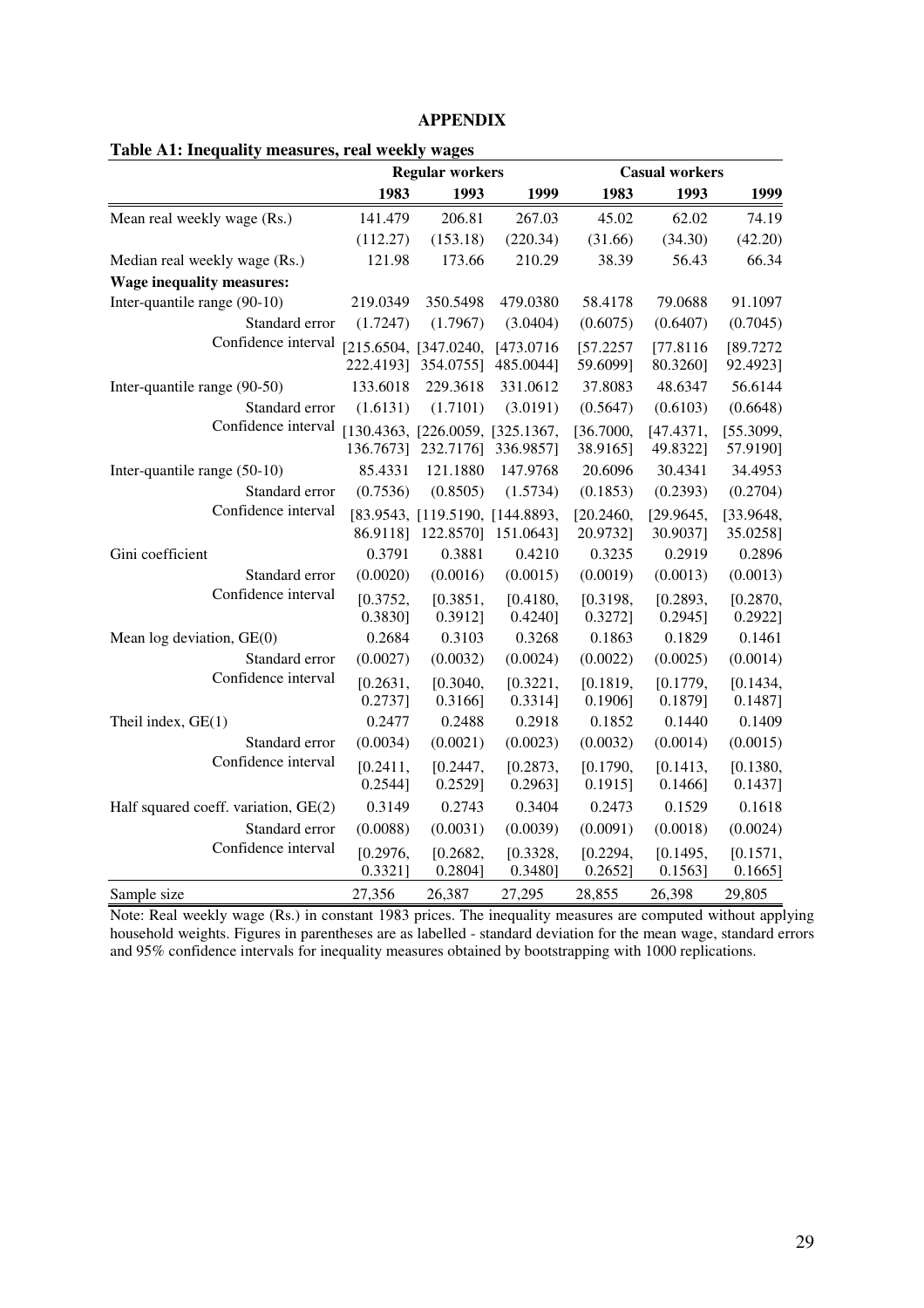## **APPENDIX**

|                                       |                     | <b>Regular workers</b>                        |                         |                        | <b>Casual workers</b>  |                        |
|---------------------------------------|---------------------|-----------------------------------------------|-------------------------|------------------------|------------------------|------------------------|
|                                       | 1983                | 1993                                          | 1999                    | 1983                   | 1993                   | 1999                   |
| Mean real weekly wage (Rs.)           | 141.479             | 206.81                                        | 267.03                  | 45.02                  | 62.02                  | 74.19                  |
|                                       | (112.27)            | (153.18)                                      | (220.34)                | (31.66)                | (34.30)                | (42.20)                |
| Median real weekly wage (Rs.)         | 121.98              | 173.66                                        | 210.29                  | 38.39                  | 56.43                  | 66.34                  |
| <b>Wage inequality measures:</b>      |                     |                                               |                         |                        |                        |                        |
| Inter-quantile range (90-10)          | 219.0349            | 350.5498                                      | 479.0380                | 58.4178                | 79.0688                | 91.1097                |
| Standard error                        | (1.7247)            | (1.7967)                                      | (3.0404)                | (0.6075)               | (0.6407)               | (0.7045)               |
| Confidence interval                   | 222.4193]           | [215.6504, [347.0240,<br>354.0755]            | [473.0716]<br>485.0044] | [57.2257]<br>59.6099]  | [77.8116]<br>80.3260]  | [89.7272<br>92.4923]   |
| Inter-quantile range (90-50)          | 133.6018            | 229.3618                                      | 331.0612                | 37.8083                | 48.6347                | 56.6144                |
| Standard error                        | (1.6131)            | (1.7101)                                      | (3.0191)                | (0.5647)               | (0.6103)               | (0.6648)               |
| Confidence interval                   | 136.7673]           | [130.4363, [226.0059, [325.1367,<br>232.7176] | 336.9857]               | [36.7000,<br>38.9165]  | [47.4371,<br>49.8322]  | [55.3099,<br>57.9190]  |
| Inter-quantile range (50-10)          | 85.4331             | 121.1880                                      | 147.9768                | 20.6096                | 30.4341                | 34.4953                |
| Standard error<br>Confidence interval | (0.7536)            | (0.8505)                                      | (1.5734)                | (0.1853)               | (0.2393)               | (0.2704)               |
|                                       | 86.9118]            | [83.9543, [119.5190, [144.8893,<br>122.8570]  | 151.0643]               | [20.2460,<br>20.9732]  | [29.9645,<br>30.9037]  | [33.9648,<br>35.0258]  |
| Gini coefficient                      | 0.3791              | 0.3881                                        | 0.4210                  | 0.3235                 | 0.2919                 | 0.2896                 |
| Standard error                        | (0.0020)            | (0.0016)                                      | (0.0015)                | (0.0019)               | (0.0013)               | (0.0013)               |
| Confidence interval                   | [0.3752,<br>0.3830] | [0.3851,<br>0.3912]                           | [0.4180,<br>$0.4240$ ]  | [0.3198,<br>0.3272]    | [0.2893,<br>$0.2945$ ] | [0.2870,<br>$0.2922$ ] |
| Mean log deviation, $GE(0)$           | 0.2684              | 0.3103                                        | 0.3268                  | 0.1863                 | 0.1829                 | 0.1461                 |
| Standard error                        | (0.0027)            | (0.0032)                                      | (0.0024)                | (0.0022)               | (0.0025)               | (0.0014)               |
| Confidence interval                   | [0.2631,<br>0.2737] | [0.3040,<br>$0.3166$ ]                        | [0.3221,<br>0.3314]     | [0.1819,<br>$0.1906$ ] | [0.1779,<br>0.1879]    | [0.1434,<br>0.1487]    |
| Theil index, $GE(1)$                  | 0.2477              | 0.2488                                        | 0.2918                  | 0.1852                 | 0.1440                 | 0.1409                 |
| Standard error                        | (0.0034)            | (0.0021)                                      | (0.0023)                | (0.0032)               | (0.0014)               | (0.0015)               |
| Confidence interval                   | [0.2411,<br>0.2544] | [0.2447,<br>$0.2529$ ]                        | [0.2873,<br>0.2963]     | [0.1790,<br>0.1915]    | [0.1413,<br>0.1466]    | [0.1380,<br>0.1437]    |
| Half squared coeff. variation, GE(2)  | 0.3149              | 0.2743                                        | 0.3404                  | 0.2473                 | 0.1529                 | 0.1618                 |
| Standard error                        | (0.0088)            | (0.0031)                                      | (0.0039)                | (0.0091)               | (0.0018)               | (0.0024)               |
| Confidence interval                   | [0.2976,<br>0.3321] | [0.2682,<br>0.2804]                           | [0.3328,<br>$0.3480$ ]  | [0.2294,<br>0.2652     | [0.1495,<br>0.1563     | [0.1571,<br>0.1665]    |
| Sample size                           | 27,356              | 26,387                                        | 27,295                  | 28,855                 | 26,398                 | 29,805                 |

Note: Real weekly wage (Rs.) in constant 1983 prices. The inequality measures are computed without applying household weights. Figures in parentheses are as labelled - standard deviation for the mean wage, standard errors and 95% confidence intervals for inequality measures obtained by bootstrapping with 1000 replications.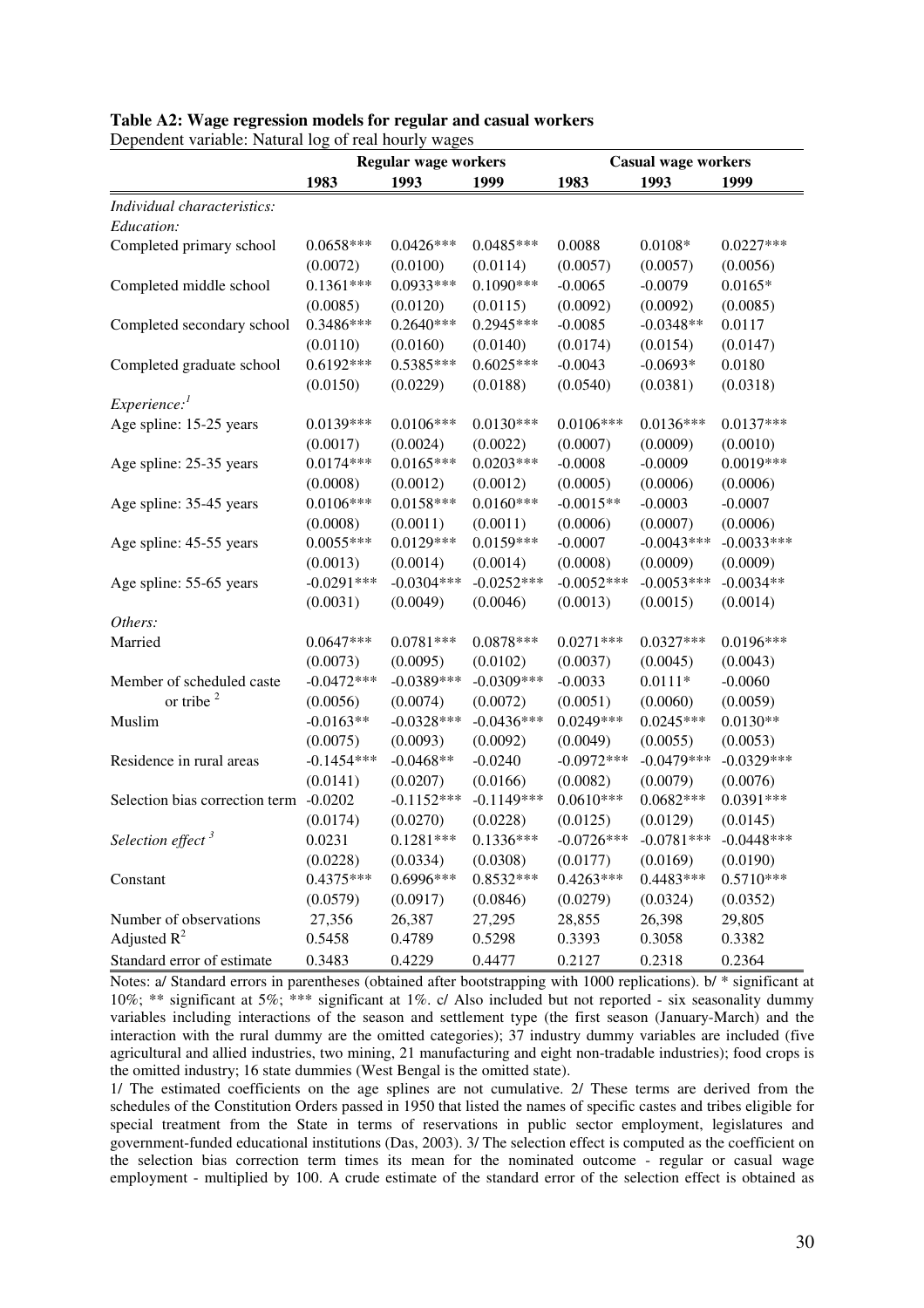|                                        | <b>Regular wage workers</b> |              |               | <b>Casual wage workers</b> |              |              |  |
|----------------------------------------|-----------------------------|--------------|---------------|----------------------------|--------------|--------------|--|
|                                        | 1983                        | 1993         | 1999          | 1983                       | 1993         | 1999         |  |
| Individual characteristics:            |                             |              |               |                            |              |              |  |
| Education:                             |                             |              |               |                            |              |              |  |
| Completed primary school               | $0.0658***$                 | $0.0426***$  | $0.0485***$   | 0.0088                     | $0.0108*$    | $0.0227***$  |  |
|                                        | (0.0072)                    | (0.0100)     | (0.0114)      | (0.0057)                   | (0.0057)     | (0.0056)     |  |
| Completed middle school                | $0.1361***$                 | 0.0933***    | $0.1090***$   | $-0.0065$                  | $-0.0079$    | $0.0165*$    |  |
|                                        | (0.0085)                    | (0.0120)     | (0.0115)      | (0.0092)                   | (0.0092)     | (0.0085)     |  |
| Completed secondary school             | 0.3486***                   | $0.2640***$  | 0.2945***     | $-0.0085$                  | $-0.0348**$  | 0.0117       |  |
|                                        | (0.0110)                    | (0.0160)     | (0.0140)      | (0.0174)                   | (0.0154)     | (0.0147)     |  |
| Completed graduate school              | $0.6192***$                 | $0.5385***$  | $0.6025***$   | $-0.0043$                  | $-0.0693*$   | 0.0180       |  |
|                                        | (0.0150)                    | (0.0229)     | (0.0188)      | (0.0540)                   | (0.0381)     | (0.0318)     |  |
| $\emph{Experience:}$                   |                             |              |               |                            |              |              |  |
| Age spline: 15-25 years                | $0.0139***$                 | $0.0106***$  | $0.0130***$   | $0.0106***$                | $0.0136***$  | $0.0137***$  |  |
|                                        | (0.0017)                    | (0.0024)     | (0.0022)      | (0.0007)                   | (0.0009)     | (0.0010)     |  |
| Age spline: 25-35 years                | $0.0174***$                 | $0.0165***$  | $0.0203***$   | $-0.0008$                  | $-0.0009$    | $0.0019***$  |  |
|                                        | (0.0008)                    | (0.0012)     | (0.0012)      | (0.0005)                   | (0.0006)     | (0.0006)     |  |
| Age spline: 35-45 years                | $0.0106***$                 | $0.0158***$  | $0.0160***$   | $-0.0015**$                | $-0.0003$    | $-0.0007$    |  |
|                                        | (0.0008)                    | (0.0011)     | (0.0011)      | (0.0006)                   | (0.0007)     | (0.0006)     |  |
| Age spline: 45-55 years                | $0.0055***$                 | $0.0129***$  | $0.0159***$   | $-0.0007$                  | $-0.0043***$ | $-0.0033***$ |  |
|                                        | (0.0013)                    | (0.0014)     | (0.0014)      | (0.0008)                   | (0.0009)     | (0.0009)     |  |
| Age spline: 55-65 years                | $-0.0291***$                | $-0.0304***$ | $-0.0252***$  | $-0.0052***$               | $-0.0053***$ | $-0.0034**$  |  |
|                                        | (0.0031)                    | (0.0049)     | (0.0046)      | (0.0013)                   | (0.0015)     | (0.0014)     |  |
| Others:                                |                             |              |               |                            |              |              |  |
| Married                                | $0.0647***$                 | $0.0781***$  | $0.0878***$   | $0.0271***$                | $0.0327***$  | $0.0196***$  |  |
|                                        | (0.0073)                    | (0.0095)     | (0.0102)      | (0.0037)                   | (0.0045)     | (0.0043)     |  |
| Member of scheduled caste              | $-0.0472***$                | $-0.0389***$ | $-0.0309$ *** | $-0.0033$                  | $0.0111*$    | $-0.0060$    |  |
| or tribe $2$                           | (0.0056)                    | (0.0074)     | (0.0072)      | (0.0051)                   | (0.0060)     | (0.0059)     |  |
| Muslim                                 | $-0.0163**$                 | $-0.0328***$ | $-0.0436***$  | $0.0249***$                | $0.0245***$  | $0.0130**$   |  |
|                                        | (0.0075)                    | (0.0093)     | (0.0092)      | (0.0049)                   | (0.0055)     | (0.0053)     |  |
| Residence in rural areas               | $-0.1454***$                | $-0.0468**$  | $-0.0240$     | $-0.0972***$               | $-0.0479***$ | $-0.0329***$ |  |
|                                        | (0.0141)                    | (0.0207)     | (0.0166)      | (0.0082)                   | (0.0079)     | (0.0076)     |  |
| Selection bias correction term -0.0202 |                             | $-0.1152***$ | $-0.1149***$  | $0.0610***$                | $0.0682***$  | $0.0391***$  |  |
|                                        | (0.0174)                    | (0.0270)     | (0.0228)      | (0.0125)                   | (0.0129)     | (0.0145)     |  |
| Selection effect <sup>3</sup>          | 0.0231                      | $0.1281***$  | $0.1336***$   | $-0.0726***$               | $-0.0781***$ | $-0.0448***$ |  |
|                                        | (0.0228)                    | (0.0334)     | (0.0308)      | (0.0177)                   | (0.0169)     | (0.0190)     |  |
| Constant                               | 0.4375***                   | 0.6996***    | $0.8532***$   | $0.4263***$                | $0.4483***$  | $0.5710***$  |  |
|                                        | (0.0579)                    | (0.0917)     | (0.0846)      | (0.0279)                   | (0.0324)     | (0.0352)     |  |
| Number of observations                 | 27,356                      | 26,387       | 27,295        | 28,855                     | 26,398       | 29,805       |  |
| Adjusted $R^2$                         | 0.5458                      | 0.4789       | 0.5298        | 0.3393                     | 0.3058       | 0.3382       |  |
| Standard error of estimate             | 0.3483                      | 0.4229       | 0.4477        | 0.2127                     | 0.2318       | 0.2364       |  |

#### **Table A2: Wage regression models for regular and casual workers**

Dependent variable: Natural log of real hourly wages

Notes: a/ Standard errors in parentheses (obtained after bootstrapping with 1000 replications). b/ \* significant at 10%; \*\* significant at 5%; \*\*\* significant at 1%. c/ Also included but not reported - six seasonality dummy variables including interactions of the season and settlement type (the first season (January-March) and the interaction with the rural dummy are the omitted categories); 37 industry dummy variables are included (five agricultural and allied industries, two mining, 21 manufacturing and eight non-tradable industries); food crops is the omitted industry; 16 state dummies (West Bengal is the omitted state).

1/ The estimated coefficients on the age splines are not cumulative. 2/ These terms are derived from the schedules of the Constitution Orders passed in 1950 that listed the names of specific castes and tribes eligible for special treatment from the State in terms of reservations in public sector employment, legislatures and government-funded educational institutions (Das, 2003). 3/ The selection effect is computed as the coefficient on the selection bias correction term times its mean for the nominated outcome - regular or casual wage employment - multiplied by 100. A crude estimate of the standard error of the selection effect is obtained as